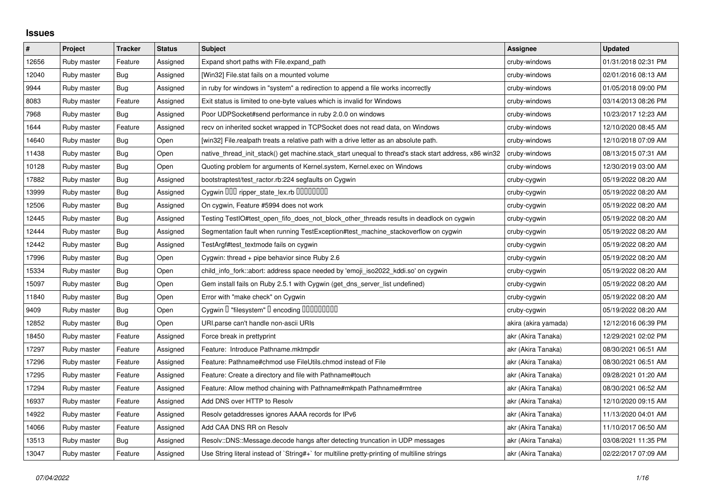## **Issues**

| $\pmb{\#}$ | Project     | <b>Tracker</b> | <b>Status</b> | <b>Subject</b>                                                                                        | Assignee             | <b>Updated</b>      |
|------------|-------------|----------------|---------------|-------------------------------------------------------------------------------------------------------|----------------------|---------------------|
| 12656      | Ruby master | Feature        | Assigned      | Expand short paths with File.expand_path                                                              | cruby-windows        | 01/31/2018 02:31 PM |
| 12040      | Ruby master | Bug            | Assigned      | [Win32] File.stat fails on a mounted volume                                                           | cruby-windows        | 02/01/2016 08:13 AM |
| 9944       | Ruby master | Bug            | Assigned      | in ruby for windows in "system" a redirection to append a file works incorrectly                      | cruby-windows        | 01/05/2018 09:00 PM |
| 8083       | Ruby master | Feature        | Assigned      | Exit status is limited to one-byte values which is invalid for Windows                                | cruby-windows        | 03/14/2013 08:26 PM |
| 7968       | Ruby master | Bug            | Assigned      | Poor UDPSocket#send performance in ruby 2.0.0 on windows                                              | cruby-windows        | 10/23/2017 12:23 AM |
| 1644       | Ruby master | Feature        | Assigned      | recv on inherited socket wrapped in TCPSocket does not read data, on Windows                          | cruby-windows        | 12/10/2020 08:45 AM |
| 14640      | Ruby master | <b>Bug</b>     | Open          | [win32] File.realpath treats a relative path with a drive letter as an absolute path.                 | cruby-windows        | 12/10/2018 07:09 AM |
| 11438      | Ruby master | Bug            | Open          | native_thread_init_stack() get machine.stack_start unequal to thread's stack start address, x86 win32 | cruby-windows        | 08/13/2015 07:31 AM |
| 10128      | Ruby master | Bug            | Open          | Quoting problem for arguments of Kernel.system, Kernel.exec on Windows                                | cruby-windows        | 12/30/2019 03:00 AM |
| 17882      | Ruby master | Bug            | Assigned      | bootstraptest/test_ractor.rb:224 segfaults on Cygwin                                                  | cruby-cygwin         | 05/19/2022 08:20 AM |
| 13999      | Ruby master | Bug            | Assigned      | Cygwin 000 ripper_state_lex.rb 0000000                                                                | cruby-cygwin         | 05/19/2022 08:20 AM |
| 12506      | Ruby master | Bug            | Assigned      | On cygwin, Feature #5994 does not work                                                                | cruby-cygwin         | 05/19/2022 08:20 AM |
| 12445      | Ruby master | <b>Bug</b>     | Assigned      | Testing TestIO#test_open_fifo_does_not_block_other_threads results in deadlock on cygwin              | cruby-cygwin         | 05/19/2022 08:20 AM |
| 12444      | Ruby master | Bug            | Assigned      | Segmentation fault when running TestException#test_machine_stackoverflow on cygwin                    | cruby-cygwin         | 05/19/2022 08:20 AM |
| 12442      | Ruby master | <b>Bug</b>     | Assigned      | TestArgf#test_textmode fails on cygwin                                                                | cruby-cygwin         | 05/19/2022 08:20 AM |
| 17996      | Ruby master | Bug            | Open          | Cygwin: thread + pipe behavior since Ruby 2.6                                                         | cruby-cygwin         | 05/19/2022 08:20 AM |
| 15334      | Ruby master | Bug            | Open          | child info fork::abort: address space needed by 'emoji iso2022 kddi.so' on cygwin                     | cruby-cygwin         | 05/19/2022 08:20 AM |
| 15097      | Ruby master | <b>Bug</b>     | Open          | Gem install fails on Ruby 2.5.1 with Cygwin (get_dns_server_list undefined)                           | cruby-cygwin         | 05/19/2022 08:20 AM |
| 11840      | Ruby master | Bug            | Open          | Error with "make check" on Cygwin                                                                     | cruby-cygwin         | 05/19/2022 08:20 AM |
| 9409       | Ruby master | <b>Bug</b>     | Open          | Cygwin I "filesystem" I encoding IIIIIIIIIIIII                                                        | cruby-cygwin         | 05/19/2022 08:20 AM |
| 12852      | Ruby master | Bug            | Open          | URI.parse can't handle non-ascii URIs                                                                 | akira (akira yamada) | 12/12/2016 06:39 PM |
| 18450      | Ruby master | Feature        | Assigned      | Force break in prettyprint                                                                            | akr (Akira Tanaka)   | 12/29/2021 02:02 PM |
| 17297      | Ruby master | Feature        | Assigned      | Feature: Introduce Pathname.mktmpdir                                                                  | akr (Akira Tanaka)   | 08/30/2021 06:51 AM |
| 17296      | Ruby master | Feature        | Assigned      | Feature: Pathname#chmod use FileUtils.chmod instead of File                                           | akr (Akira Tanaka)   | 08/30/2021 06:51 AM |
| 17295      | Ruby master | Feature        | Assigned      | Feature: Create a directory and file with Pathname#touch                                              | akr (Akira Tanaka)   | 09/28/2021 01:20 AM |
| 17294      | Ruby master | Feature        | Assigned      | Feature: Allow method chaining with Pathname#mkpath Pathname#rmtree                                   | akr (Akira Tanaka)   | 08/30/2021 06:52 AM |
| 16937      | Ruby master | Feature        | Assigned      | Add DNS over HTTP to Resolv                                                                           | akr (Akira Tanaka)   | 12/10/2020 09:15 AM |
| 14922      | Ruby master | Feature        | Assigned      | Resolv getaddresses ignores AAAA records for IPv6                                                     | akr (Akira Tanaka)   | 11/13/2020 04:01 AM |
| 14066      | Ruby master | Feature        | Assigned      | Add CAA DNS RR on Resolv                                                                              | akr (Akira Tanaka)   | 11/10/2017 06:50 AM |
| 13513      | Ruby master | Bug            | Assigned      | Resolv::DNS::Message.decode hangs after detecting truncation in UDP messages                          | akr (Akira Tanaka)   | 03/08/2021 11:35 PM |
| 13047      | Ruby master | Feature        | Assigned      | Use String literal instead of `String#+` for multiline pretty-printing of multiline strings           | akr (Akira Tanaka)   | 02/22/2017 07:09 AM |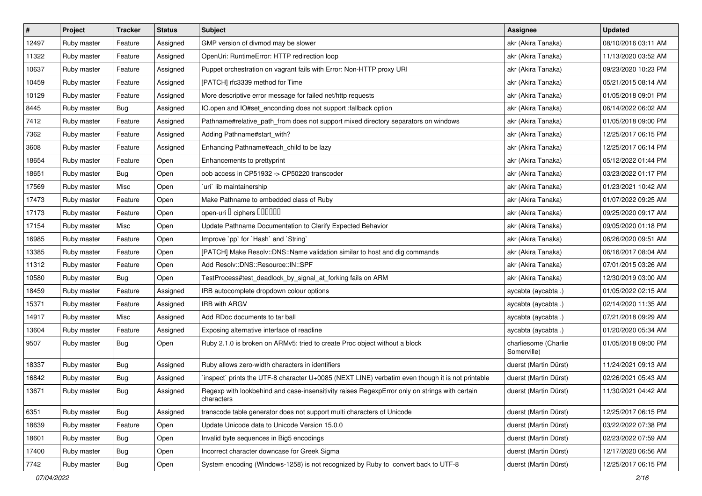| $\pmb{\#}$ | Project     | <b>Tracker</b> | <b>Status</b> | Subject                                                                                                     | Assignee                            | <b>Updated</b>      |
|------------|-------------|----------------|---------------|-------------------------------------------------------------------------------------------------------------|-------------------------------------|---------------------|
| 12497      | Ruby master | Feature        | Assigned      | GMP version of divmod may be slower                                                                         | akr (Akira Tanaka)                  | 08/10/2016 03:11 AM |
| 11322      | Ruby master | Feature        | Assigned      | OpenUri: RuntimeError: HTTP redirection loop                                                                | akr (Akira Tanaka)                  | 11/13/2020 03:52 AM |
| 10637      | Ruby master | Feature        | Assigned      | Puppet orchestration on vagrant fails with Error: Non-HTTP proxy URI                                        | akr (Akira Tanaka)                  | 09/23/2020 10:23 PM |
| 10459      | Ruby master | Feature        | Assigned      | [PATCH] rfc3339 method for Time                                                                             | akr (Akira Tanaka)                  | 05/21/2015 08:14 AM |
| 10129      | Ruby master | Feature        | Assigned      | More descriptive error message for failed net/http requests                                                 | akr (Akira Tanaka)                  | 01/05/2018 09:01 PM |
| 8445       | Ruby master | Bug            | Assigned      | IO.open and IO#set_enconding does not support :fallback option                                              | akr (Akira Tanaka)                  | 06/14/2022 06:02 AM |
| 7412       | Ruby master | Feature        | Assigned      | Pathname#relative_path_from does not support mixed directory separators on windows                          | akr (Akira Tanaka)                  | 01/05/2018 09:00 PM |
| 7362       | Ruby master | Feature        | Assigned      | Adding Pathname#start_with?                                                                                 | akr (Akira Tanaka)                  | 12/25/2017 06:15 PM |
| 3608       | Ruby master | Feature        | Assigned      | Enhancing Pathname#each_child to be lazy                                                                    | akr (Akira Tanaka)                  | 12/25/2017 06:14 PM |
| 18654      | Ruby master | Feature        | Open          | Enhancements to prettyprint                                                                                 | akr (Akira Tanaka)                  | 05/12/2022 01:44 PM |
| 18651      | Ruby master | Bug            | Open          | oob access in CP51932 -> CP50220 transcoder                                                                 | akr (Akira Tanaka)                  | 03/23/2022 01:17 PM |
| 17569      | Ruby master | Misc           | Open          | uri lib maintainership                                                                                      | akr (Akira Tanaka)                  | 01/23/2021 10:42 AM |
| 17473      | Ruby master | Feature        | Open          | Make Pathname to embedded class of Ruby                                                                     | akr (Akira Tanaka)                  | 01/07/2022 09:25 AM |
| 17173      | Ruby master | Feature        | Open          | open-uri D ciphers DOODOO                                                                                   | akr (Akira Tanaka)                  | 09/25/2020 09:17 AM |
| 17154      | Ruby master | Misc           | Open          | Update Pathname Documentation to Clarify Expected Behavior                                                  | akr (Akira Tanaka)                  | 09/05/2020 01:18 PM |
| 16985      | Ruby master | Feature        | Open          | Improve `pp` for `Hash` and `String`                                                                        | akr (Akira Tanaka)                  | 06/26/2020 09:51 AM |
| 13385      | Ruby master | Feature        | Open          | [PATCH] Make Resolv::DNS::Name validation similar to host and dig commands                                  | akr (Akira Tanaka)                  | 06/16/2017 08:04 AM |
| 11312      | Ruby master | Feature        | Open          | Add Resolv::DNS::Resource::IN::SPF                                                                          | akr (Akira Tanaka)                  | 07/01/2015 03:26 AM |
| 10580      | Ruby master | Bug            | Open          | TestProcess#test_deadlock_by_signal_at_forking fails on ARM                                                 | akr (Akira Tanaka)                  | 12/30/2019 03:00 AM |
| 18459      | Ruby master | Feature        | Assigned      | IRB autocomplete dropdown colour options                                                                    | aycabta (aycabta.)                  | 01/05/2022 02:15 AM |
| 15371      | Ruby master | Feature        | Assigned      | <b>IRB with ARGV</b>                                                                                        | aycabta (aycabta.)                  | 02/14/2020 11:35 AM |
| 14917      | Ruby master | Misc           | Assigned      | Add RDoc documents to tar ball                                                                              | aycabta (aycabta.)                  | 07/21/2018 09:29 AM |
| 13604      | Ruby master | Feature        | Assigned      | Exposing alternative interface of readline                                                                  | aycabta (aycabta.)                  | 01/20/2020 05:34 AM |
| 9507       | Ruby master | Bug            | Open          | Ruby 2.1.0 is broken on ARMv5: tried to create Proc object without a block                                  | charliesome (Charlie<br>Somerville) | 01/05/2018 09:00 PM |
| 18337      | Ruby master | Bug            | Assigned      | Ruby allows zero-width characters in identifiers                                                            | duerst (Martin Dürst)               | 11/24/2021 09:13 AM |
| 16842      | Ruby master | <b>Bug</b>     | Assigned      | inspect` prints the UTF-8 character U+0085 (NEXT LINE) verbatim even though it is not printable             | duerst (Martin Dürst)               | 02/26/2021 05:43 AM |
| 13671      | Ruby master | <b>Bug</b>     | Assigned      | Regexp with lookbehind and case-insensitivity raises RegexpError only on strings with certain<br>characters | duerst (Martin Dürst)               | 11/30/2021 04:42 AM |
| 6351       | Ruby master | <b>Bug</b>     | Assigned      | transcode table generator does not support multi characters of Unicode                                      | duerst (Martin Dürst)               | 12/25/2017 06:15 PM |
| 18639      | Ruby master | Feature        | Open          | Update Unicode data to Unicode Version 15.0.0                                                               | duerst (Martin Dürst)               | 03/22/2022 07:38 PM |
| 18601      | Ruby master | Bug            | Open          | Invalid byte sequences in Big5 encodings                                                                    | duerst (Martin Dürst)               | 02/23/2022 07:59 AM |
| 17400      | Ruby master | Bug            | Open          | Incorrect character downcase for Greek Sigma                                                                | duerst (Martin Dürst)               | 12/17/2020 06:56 AM |
| 7742       | Ruby master | Bug            | Open          | System encoding (Windows-1258) is not recognized by Ruby to convert back to UTF-8                           | duerst (Martin Dürst)               | 12/25/2017 06:15 PM |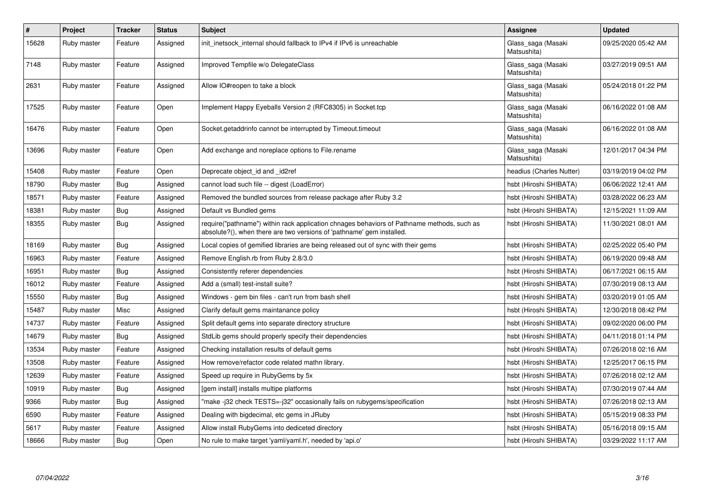| $\vert$ # | Project     | <b>Tracker</b> | <b>Status</b> | <b>Subject</b>                                                                                                                                                      | Assignee                          | <b>Updated</b>      |
|-----------|-------------|----------------|---------------|---------------------------------------------------------------------------------------------------------------------------------------------------------------------|-----------------------------------|---------------------|
| 15628     | Ruby master | Feature        | Assigned      | init inetsock internal should fallback to IPv4 if IPv6 is unreachable                                                                                               | Glass_saga (Masaki<br>Matsushita) | 09/25/2020 05:42 AM |
| 7148      | Ruby master | Feature        | Assigned      | Improved Tempfile w/o DelegateClass                                                                                                                                 | Glass_saga (Masaki<br>Matsushita) | 03/27/2019 09:51 AM |
| 2631      | Ruby master | Feature        | Assigned      | Allow IO#reopen to take a block                                                                                                                                     | Glass_saga (Masaki<br>Matsushita) | 05/24/2018 01:22 PM |
| 17525     | Ruby master | Feature        | Open          | Implement Happy Eyeballs Version 2 (RFC8305) in Socket.tcp                                                                                                          | Glass_saga (Masaki<br>Matsushita) | 06/16/2022 01:08 AM |
| 16476     | Ruby master | Feature        | Open          | Socket.getaddrinfo cannot be interrupted by Timeout.timeout                                                                                                         | Glass_saga (Masaki<br>Matsushita) | 06/16/2022 01:08 AM |
| 13696     | Ruby master | Feature        | Open          | Add exchange and noreplace options to File.rename                                                                                                                   | Glass_saga (Masaki<br>Matsushita) | 12/01/2017 04:34 PM |
| 15408     | Ruby master | Feature        | Open          | Deprecate object_id and _id2ref                                                                                                                                     | headius (Charles Nutter)          | 03/19/2019 04:02 PM |
| 18790     | Ruby master | Bug            | Assigned      | cannot load such file -- digest (LoadError)                                                                                                                         | hsbt (Hiroshi SHIBATA)            | 06/06/2022 12:41 AM |
| 18571     | Ruby master | Feature        | Assigned      | Removed the bundled sources from release package after Ruby 3.2                                                                                                     | hsbt (Hiroshi SHIBATA)            | 03/28/2022 06:23 AM |
| 18381     | Ruby master | <b>Bug</b>     | Assigned      | Default vs Bundled gems                                                                                                                                             | hsbt (Hiroshi SHIBATA)            | 12/15/2021 11:09 AM |
| 18355     | Ruby master | Bug            | Assigned      | require("pathname") within rack application chnages behaviors of Pathname methods, such as<br>absolute?(), when there are two versions of 'pathname' gem installed. | hsbt (Hiroshi SHIBATA)            | 11/30/2021 08:01 AM |
| 18169     | Ruby master | Bug            | Assigned      | Local copies of gemified libraries are being released out of sync with their gems                                                                                   | hsbt (Hiroshi SHIBATA)            | 02/25/2022 05:40 PM |
| 16963     | Ruby master | Feature        | Assigned      | Remove English.rb from Ruby 2.8/3.0                                                                                                                                 | hsbt (Hiroshi SHIBATA)            | 06/19/2020 09:48 AM |
| 16951     | Ruby master | <b>Bug</b>     | Assigned      | Consistently referer dependencies                                                                                                                                   | hsbt (Hiroshi SHIBATA)            | 06/17/2021 06:15 AM |
| 16012     | Ruby master | Feature        | Assigned      | Add a (small) test-install suite?                                                                                                                                   | hsbt (Hiroshi SHIBATA)            | 07/30/2019 08:13 AM |
| 15550     | Ruby master | <b>Bug</b>     | Assigned      | Windows - gem bin files - can't run from bash shell                                                                                                                 | hsbt (Hiroshi SHIBATA)            | 03/20/2019 01:05 AM |
| 15487     | Ruby master | Misc           | Assigned      | Clarify default gems maintanance policy                                                                                                                             | hsbt (Hiroshi SHIBATA)            | 12/30/2018 08:42 PM |
| 14737     | Ruby master | Feature        | Assigned      | Split default gems into separate directory structure                                                                                                                | hsbt (Hiroshi SHIBATA)            | 09/02/2020 06:00 PM |
| 14679     | Ruby master | Bug            | Assigned      | StdLib gems should properly specify their dependencies                                                                                                              | hsbt (Hiroshi SHIBATA)            | 04/11/2018 01:14 PM |
| 13534     | Ruby master | Feature        | Assigned      | Checking installation results of default gems                                                                                                                       | hsbt (Hiroshi SHIBATA)            | 07/26/2018 02:16 AM |
| 13508     | Ruby master | Feature        | Assigned      | How remove/refactor code related mathn library.                                                                                                                     | hsbt (Hiroshi SHIBATA)            | 12/25/2017 06:15 PM |
| 12639     | Ruby master | Feature        | Assigned      | Speed up require in RubyGems by 5x                                                                                                                                  | hsbt (Hiroshi SHIBATA)            | 07/26/2018 02:12 AM |
| 10919     | Ruby master | <b>Bug</b>     | Assigned      | [gem install] installs multipe platforms                                                                                                                            | hsbt (Hiroshi SHIBATA)            | 07/30/2019 07:44 AM |
| 9366      | Ruby master | <b>Bug</b>     | Assigned      | "make -j32 check TESTS=-j32" occasionally fails on rubygems/specification                                                                                           | hsbt (Hiroshi SHIBATA)            | 07/26/2018 02:13 AM |
| 6590      | Ruby master | Feature        | Assigned      | Dealing with bigdecimal, etc gems in JRuby                                                                                                                          | hsbt (Hiroshi SHIBATA)            | 05/15/2019 08:33 PM |
| 5617      | Ruby master | Feature        | Assigned      | Allow install RubyGems into dediceted directory                                                                                                                     | hsbt (Hiroshi SHIBATA)            | 05/16/2018 09:15 AM |
| 18666     | Ruby master | Bug            | Open          | No rule to make target 'yaml/yaml.h', needed by 'api.o'                                                                                                             | hsbt (Hiroshi SHIBATA)            | 03/29/2022 11:17 AM |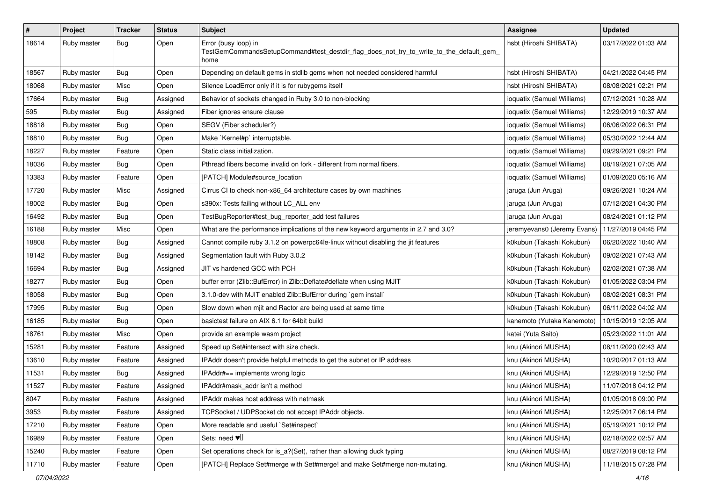| $\pmb{\#}$ | Project     | <b>Tracker</b> | <b>Status</b> | <b>Subject</b>                                                                                                          | Assignee                    | <b>Updated</b>      |
|------------|-------------|----------------|---------------|-------------------------------------------------------------------------------------------------------------------------|-----------------------------|---------------------|
| 18614      | Ruby master | Bug            | Open          | Error (busy loop) in<br>TestGemCommandsSetupCommand#test_destdir_flag_does_not_try_to_write_to_the_default_gem_<br>home | hsbt (Hiroshi SHIBATA)      | 03/17/2022 01:03 AM |
| 18567      | Ruby master | Bug            | Open          | Depending on default gems in stdlib gems when not needed considered harmful                                             | hsbt (Hiroshi SHIBATA)      | 04/21/2022 04:45 PM |
| 18068      | Ruby master | Misc           | Open          | Silence LoadError only if it is for rubygems itself                                                                     | hsbt (Hiroshi SHIBATA)      | 08/08/2021 02:21 PM |
| 17664      | Ruby master | Bug            | Assigned      | Behavior of sockets changed in Ruby 3.0 to non-blocking                                                                 | ioquatix (Samuel Williams)  | 07/12/2021 10:28 AM |
| 595        | Ruby master | Bug            | Assigned      | Fiber ignores ensure clause                                                                                             | ioquatix (Samuel Williams)  | 12/29/2019 10:37 AM |
| 18818      | Ruby master | Bug            | Open          | SEGV (Fiber scheduler?)                                                                                                 | ioquatix (Samuel Williams)  | 06/06/2022 06:31 PM |
| 18810      | Ruby master | Bug            | Open          | Make `Kernel#p` interruptable.                                                                                          | ioquatix (Samuel Williams)  | 05/30/2022 12:44 AM |
| 18227      | Ruby master | Feature        | Open          | Static class initialization.                                                                                            | ioquatix (Samuel Williams)  | 09/29/2021 09:21 PM |
| 18036      | Ruby master | Bug            | Open          | Pthread fibers become invalid on fork - different from normal fibers.                                                   | ioquatix (Samuel Williams)  | 08/19/2021 07:05 AM |
| 13383      | Ruby master | Feature        | Open          | [PATCH] Module#source_location                                                                                          | ioquatix (Samuel Williams)  | 01/09/2020 05:16 AM |
| 17720      | Ruby master | Misc           | Assigned      | Cirrus CI to check non-x86_64 architecture cases by own machines                                                        | jaruga (Jun Aruga)          | 09/26/2021 10:24 AM |
| 18002      | Ruby master | Bug            | Open          | s390x: Tests failing without LC_ALL env                                                                                 | jaruga (Jun Aruga)          | 07/12/2021 04:30 PM |
| 16492      | Ruby master | Bug            | Open          | TestBugReporter#test_bug_reporter_add test failures                                                                     | jaruga (Jun Aruga)          | 08/24/2021 01:12 PM |
| 16188      | Ruby master | Misc           | Open          | What are the performance implications of the new keyword arguments in 2.7 and 3.0?                                      | jeremyevans0 (Jeremy Evans) | 11/27/2019 04:45 PM |
| 18808      | Ruby master | Bug            | Assigned      | Cannot compile ruby 3.1.2 on powerpc64le-linux without disabling the jit features                                       | k0kubun (Takashi Kokubun)   | 06/20/2022 10:40 AM |
| 18142      | Ruby master | Bug            | Assigned      | Segmentation fault with Ruby 3.0.2                                                                                      | k0kubun (Takashi Kokubun)   | 09/02/2021 07:43 AM |
| 16694      | Ruby master | Bug            | Assigned      | JIT vs hardened GCC with PCH                                                                                            | k0kubun (Takashi Kokubun)   | 02/02/2021 07:38 AM |
| 18277      | Ruby master | Bug            | Open          | buffer error (Zlib::BufError) in Zlib::Deflate#deflate when using MJIT                                                  | k0kubun (Takashi Kokubun)   | 01/05/2022 03:04 PM |
| 18058      | Ruby master | Bug            | Open          | 3.1.0-dev with MJIT enabled Zlib::BufError during `gem install`                                                         | k0kubun (Takashi Kokubun)   | 08/02/2021 08:31 PM |
| 17995      | Ruby master | Bug            | Open          | Slow down when mjit and Ractor are being used at same time                                                              | k0kubun (Takashi Kokubun)   | 06/11/2022 04:02 AM |
| 16185      | Ruby master | Bug            | Open          | basictest failure on AIX 6.1 for 64bit build                                                                            | kanemoto (Yutaka Kanemoto)  | 10/15/2019 12:05 AM |
| 18761      | Ruby master | Misc           | Open          | provide an example wasm project                                                                                         | katei (Yuta Saito)          | 05/23/2022 11:01 AM |
| 15281      | Ruby master | Feature        | Assigned      | Speed up Set#intersect with size check.                                                                                 | knu (Akinori MUSHA)         | 08/11/2020 02:43 AM |
| 13610      | Ruby master | Feature        | Assigned      | IPAddr doesn't provide helpful methods to get the subnet or IP address                                                  | knu (Akinori MUSHA)         | 10/20/2017 01:13 AM |
| 11531      | Ruby master | Bug            | Assigned      | IPAddr#== implements wrong logic                                                                                        | knu (Akinori MUSHA)         | 12/29/2019 12:50 PM |
| 11527      | Ruby master | Feature        | Assigned      | IPAddr#mask_addr isn't a method                                                                                         | knu (Akinori MUSHA)         | 11/07/2018 04:12 PM |
| 8047       | Ruby master | Feature        | Assigned      | IPAddr makes host address with netmask                                                                                  | knu (Akinori MUSHA)         | 01/05/2018 09:00 PM |
| 3953       | Ruby master | Feature        | Assigned      | TCPSocket / UDPSocket do not accept IPAddr objects.                                                                     | knu (Akinori MUSHA)         | 12/25/2017 06:14 PM |
| 17210      | Ruby master | Feature        | Open          | More readable and useful `Set#inspect`                                                                                  | knu (Akinori MUSHA)         | 05/19/2021 10:12 PM |
| 16989      | Ruby master | Feature        | Open          | Sets: need $\Psi$ <sup><math>\Box</math></sup>                                                                          | knu (Akinori MUSHA)         | 02/18/2022 02:57 AM |
| 15240      | Ruby master | Feature        | Open          | Set operations check for is_a?(Set), rather than allowing duck typing                                                   | knu (Akinori MUSHA)         | 08/27/2019 08:12 PM |
| 11710      | Ruby master | Feature        | Open          | [PATCH] Replace Set#merge with Set#merge! and make Set#merge non-mutating.                                              | knu (Akinori MUSHA)         | 11/18/2015 07:28 PM |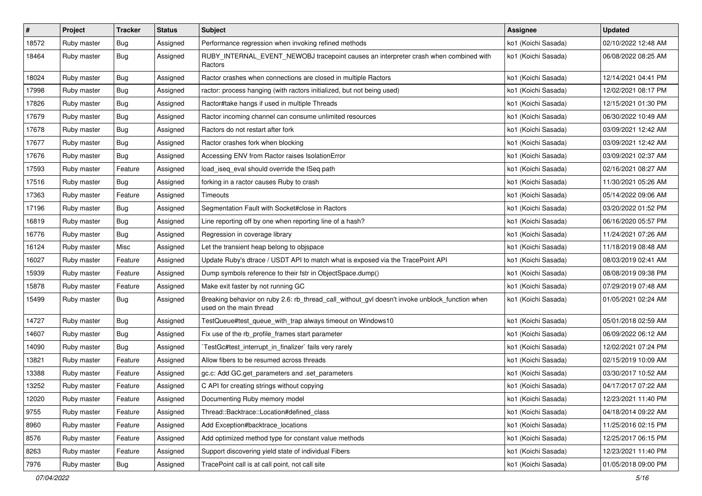| #     | Project     | <b>Tracker</b> | <b>Status</b> | <b>Subject</b>                                                                                                            | Assignee            | <b>Updated</b>      |
|-------|-------------|----------------|---------------|---------------------------------------------------------------------------------------------------------------------------|---------------------|---------------------|
| 18572 | Ruby master | <b>Bug</b>     | Assigned      | Performance regression when invoking refined methods                                                                      | ko1 (Koichi Sasada) | 02/10/2022 12:48 AM |
| 18464 | Ruby master | <b>Bug</b>     | Assigned      | RUBY_INTERNAL_EVENT_NEWOBJ tracepoint causes an interpreter crash when combined with<br>Ractors                           | ko1 (Koichi Sasada) | 06/08/2022 08:25 AM |
| 18024 | Ruby master | Bug            | Assigned      | Ractor crashes when connections are closed in multiple Ractors                                                            | ko1 (Koichi Sasada) | 12/14/2021 04:41 PM |
| 17998 | Ruby master | Bug            | Assigned      | ractor: process hanging (with ractors initialized, but not being used)                                                    | ko1 (Koichi Sasada) | 12/02/2021 08:17 PM |
| 17826 | Ruby master | Bug            | Assigned      | Ractor#take hangs if used in multiple Threads                                                                             | ko1 (Koichi Sasada) | 12/15/2021 01:30 PM |
| 17679 | Ruby master | Bug            | Assigned      | Ractor incoming channel can consume unlimited resources                                                                   | ko1 (Koichi Sasada) | 06/30/2022 10:49 AM |
| 17678 | Ruby master | Bug            | Assigned      | Ractors do not restart after fork                                                                                         | ko1 (Koichi Sasada) | 03/09/2021 12:42 AM |
| 17677 | Ruby master | <b>Bug</b>     | Assigned      | Ractor crashes fork when blocking                                                                                         | ko1 (Koichi Sasada) | 03/09/2021 12:42 AM |
| 17676 | Ruby master | Bug            | Assigned      | Accessing ENV from Ractor raises IsolationError                                                                           | ko1 (Koichi Sasada) | 03/09/2021 02:37 AM |
| 17593 | Ruby master | Feature        | Assigned      | load_iseq_eval should override the ISeq path                                                                              | ko1 (Koichi Sasada) | 02/16/2021 08:27 AM |
| 17516 | Ruby master | Bug            | Assigned      | forking in a ractor causes Ruby to crash                                                                                  | ko1 (Koichi Sasada) | 11/30/2021 05:26 AM |
| 17363 | Ruby master | Feature        | Assigned      | Timeouts                                                                                                                  | ko1 (Koichi Sasada) | 05/14/2022 09:06 AM |
| 17196 | Ruby master | Bug            | Assigned      | Segmentation Fault with Socket#close in Ractors                                                                           | ko1 (Koichi Sasada) | 03/20/2022 01:52 PM |
| 16819 | Ruby master | Bug            | Assigned      | Line reporting off by one when reporting line of a hash?                                                                  | ko1 (Koichi Sasada) | 06/16/2020 05:57 PM |
| 16776 | Ruby master | Bug            | Assigned      | Regression in coverage library                                                                                            | ko1 (Koichi Sasada) | 11/24/2021 07:26 AM |
| 16124 | Ruby master | Misc           | Assigned      | Let the transient heap belong to objspace                                                                                 | ko1 (Koichi Sasada) | 11/18/2019 08:48 AM |
| 16027 | Ruby master | Feature        | Assigned      | Update Ruby's dtrace / USDT API to match what is exposed via the TracePoint API                                           | ko1 (Koichi Sasada) | 08/03/2019 02:41 AM |
| 15939 | Ruby master | Feature        | Assigned      | Dump symbols reference to their fstr in ObjectSpace.dump()                                                                | ko1 (Koichi Sasada) | 08/08/2019 09:38 PM |
| 15878 | Ruby master | Feature        | Assigned      | Make exit faster by not running GC                                                                                        | ko1 (Koichi Sasada) | 07/29/2019 07:48 AM |
| 15499 | Ruby master | Bug            | Assigned      | Breaking behavior on ruby 2.6: rb_thread_call_without_gvl doesn't invoke unblock_function when<br>used on the main thread | ko1 (Koichi Sasada) | 01/05/2021 02:24 AM |
| 14727 | Ruby master | Bug            | Assigned      | TestQueue#test_queue_with_trap always timeout on Windows10                                                                | ko1 (Koichi Sasada) | 05/01/2018 02:59 AM |
| 14607 | Ruby master | Bug            | Assigned      | Fix use of the rb_profile_frames start parameter                                                                          | ko1 (Koichi Sasada) | 06/09/2022 06:12 AM |
| 14090 | Ruby master | Bug            | Assigned      | TestGc#test_interrupt_in_finalizer`fails very rarely                                                                      | ko1 (Koichi Sasada) | 12/02/2021 07:24 PM |
| 13821 | Ruby master | Feature        | Assigned      | Allow fibers to be resumed across threads                                                                                 | ko1 (Koichi Sasada) | 02/15/2019 10:09 AM |
| 13388 | Ruby master | Feature        | Assigned      | gc.c: Add GC.get_parameters and .set_parameters                                                                           | ko1 (Koichi Sasada) | 03/30/2017 10:52 AM |
| 13252 | Ruby master | Feature        | Assigned      | C API for creating strings without copying                                                                                | ko1 (Koichi Sasada) | 04/17/2017 07:22 AM |
| 12020 | Ruby master | Feature        | Assigned      | Documenting Ruby memory model                                                                                             | ko1 (Koichi Sasada) | 12/23/2021 11:40 PM |
| 9755  | Ruby master | Feature        | Assigned      | Thread::Backtrace::Location#defined_class                                                                                 | ko1 (Koichi Sasada) | 04/18/2014 09:22 AM |
| 8960  | Ruby master | Feature        | Assigned      | Add Exception#backtrace_locations                                                                                         | ko1 (Koichi Sasada) | 11/25/2016 02:15 PM |
| 8576  | Ruby master | Feature        | Assigned      | Add optimized method type for constant value methods                                                                      | ko1 (Koichi Sasada) | 12/25/2017 06:15 PM |
| 8263  | Ruby master | Feature        | Assigned      | Support discovering yield state of individual Fibers                                                                      | ko1 (Koichi Sasada) | 12/23/2021 11:40 PM |
| 7976  | Ruby master | <b>Bug</b>     | Assigned      | TracePoint call is at call point, not call site                                                                           | ko1 (Koichi Sasada) | 01/05/2018 09:00 PM |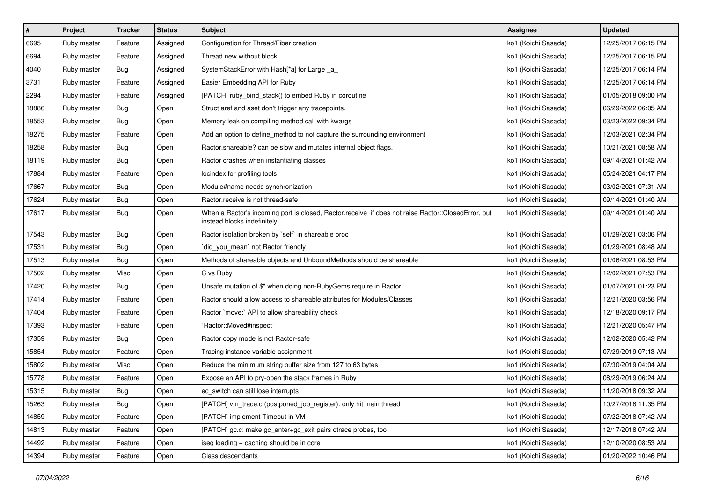| $\pmb{\#}$ | Project     | <b>Tracker</b> | <b>Status</b> | <b>Subject</b>                                                                                                                    | Assignee            | <b>Updated</b>      |
|------------|-------------|----------------|---------------|-----------------------------------------------------------------------------------------------------------------------------------|---------------------|---------------------|
| 6695       | Ruby master | Feature        | Assigned      | Configuration for Thread/Fiber creation                                                                                           | ko1 (Koichi Sasada) | 12/25/2017 06:15 PM |
| 6694       | Ruby master | Feature        | Assigned      | Thread.new without block.                                                                                                         | ko1 (Koichi Sasada) | 12/25/2017 06:15 PM |
| 4040       | Ruby master | Bug            | Assigned      | SystemStackError with Hash[*a] for Large _a_                                                                                      | ko1 (Koichi Sasada) | 12/25/2017 06:14 PM |
| 3731       | Ruby master | Feature        | Assigned      | Easier Embedding API for Ruby                                                                                                     | ko1 (Koichi Sasada) | 12/25/2017 06:14 PM |
| 2294       | Ruby master | Feature        | Assigned      | [PATCH] ruby_bind_stack() to embed Ruby in coroutine                                                                              | ko1 (Koichi Sasada) | 01/05/2018 09:00 PM |
| 18886      | Ruby master | Bug            | Open          | Struct aref and aset don't trigger any tracepoints.                                                                               | ko1 (Koichi Sasada) | 06/29/2022 06:05 AM |
| 18553      | Ruby master | Bug            | Open          | Memory leak on compiling method call with kwargs                                                                                  | ko1 (Koichi Sasada) | 03/23/2022 09:34 PM |
| 18275      | Ruby master | Feature        | Open          | Add an option to define_method to not capture the surrounding environment                                                         | ko1 (Koichi Sasada) | 12/03/2021 02:34 PM |
| 18258      | Ruby master | Bug            | Open          | Ractor shareable? can be slow and mutates internal object flags.                                                                  | ko1 (Koichi Sasada) | 10/21/2021 08:58 AM |
| 18119      | Ruby master | <b>Bug</b>     | Open          | Ractor crashes when instantiating classes                                                                                         | ko1 (Koichi Sasada) | 09/14/2021 01:42 AM |
| 17884      | Ruby master | Feature        | Open          | locindex for profiling tools                                                                                                      | ko1 (Koichi Sasada) | 05/24/2021 04:17 PM |
| 17667      | Ruby master | Bug            | Open          | Module#name needs synchronization                                                                                                 | ko1 (Koichi Sasada) | 03/02/2021 07:31 AM |
| 17624      | Ruby master | Bug            | Open          | Ractor.receive is not thread-safe                                                                                                 | ko1 (Koichi Sasada) | 09/14/2021 01:40 AM |
| 17617      | Ruby master | Bug            | Open          | When a Ractor's incoming port is closed, Ractor.receive_if does not raise Ractor::ClosedError, but<br>instead blocks indefinitely | ko1 (Koichi Sasada) | 09/14/2021 01:40 AM |
| 17543      | Ruby master | Bug            | Open          | Ractor isolation broken by `self` in shareable proc                                                                               | ko1 (Koichi Sasada) | 01/29/2021 03:06 PM |
| 17531      | Ruby master | Bug            | Open          | `did_you_mean` not Ractor friendly                                                                                                | ko1 (Koichi Sasada) | 01/29/2021 08:48 AM |
| 17513      | Ruby master | <b>Bug</b>     | Open          | Methods of shareable objects and UnboundMethods should be shareable                                                               | ko1 (Koichi Sasada) | 01/06/2021 08:53 PM |
| 17502      | Ruby master | Misc           | Open          | C vs Ruby                                                                                                                         | ko1 (Koichi Sasada) | 12/02/2021 07:53 PM |
| 17420      | Ruby master | Bug            | Open          | Unsafe mutation of \$" when doing non-RubyGems require in Ractor                                                                  | ko1 (Koichi Sasada) | 01/07/2021 01:23 PM |
| 17414      | Ruby master | Feature        | Open          | Ractor should allow access to shareable attributes for Modules/Classes                                                            | ko1 (Koichi Sasada) | 12/21/2020 03:56 PM |
| 17404      | Ruby master | Feature        | Open          | Ractor `move:` API to allow shareability check                                                                                    | ko1 (Koichi Sasada) | 12/18/2020 09:17 PM |
| 17393      | Ruby master | Feature        | Open          | Ractor::Moved#inspect`                                                                                                            | ko1 (Koichi Sasada) | 12/21/2020 05:47 PM |
| 17359      | Ruby master | Bug            | Open          | Ractor copy mode is not Ractor-safe                                                                                               | ko1 (Koichi Sasada) | 12/02/2020 05:42 PM |
| 15854      | Ruby master | Feature        | Open          | Tracing instance variable assignment                                                                                              | ko1 (Koichi Sasada) | 07/29/2019 07:13 AM |
| 15802      | Ruby master | Misc           | Open          | Reduce the minimum string buffer size from 127 to 63 bytes                                                                        | ko1 (Koichi Sasada) | 07/30/2019 04:04 AM |
| 15778      | Ruby master | Feature        | Open          | Expose an API to pry-open the stack frames in Ruby                                                                                | ko1 (Koichi Sasada) | 08/29/2019 06:24 AM |
| 15315      | Ruby master | Bug            | Open          | ec switch can still lose interrupts                                                                                               | ko1 (Koichi Sasada) | 11/20/2018 09:32 AM |
| 15263      | Ruby master | Bug            | Open          | [PATCH] vm_trace.c (postponed_job_register): only hit main thread                                                                 | ko1 (Koichi Sasada) | 10/27/2018 11:35 PM |
| 14859      | Ruby master | Feature        | Open          | [PATCH] implement Timeout in VM                                                                                                   | ko1 (Koichi Sasada) | 07/22/2018 07:42 AM |
| 14813      | Ruby master | Feature        | Open          | [PATCH] gc.c: make gc_enter+gc_exit pairs dtrace probes, too                                                                      | ko1 (Koichi Sasada) | 12/17/2018 07:42 AM |
| 14492      | Ruby master | Feature        | Open          | iseg loading + caching should be in core                                                                                          | ko1 (Koichi Sasada) | 12/10/2020 08:53 AM |
| 14394      | Ruby master | Feature        | Open          | Class.descendants                                                                                                                 | ko1 (Koichi Sasada) | 01/20/2022 10:46 PM |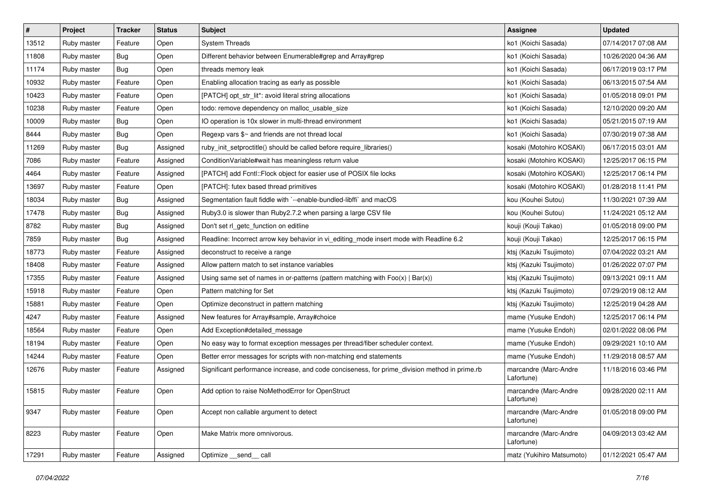| $\vert$ # | Project     | <b>Tracker</b> | <b>Status</b> | Subject                                                                                       | <b>Assignee</b>                     | <b>Updated</b>      |
|-----------|-------------|----------------|---------------|-----------------------------------------------------------------------------------------------|-------------------------------------|---------------------|
| 13512     | Ruby master | Feature        | Open          | <b>System Threads</b>                                                                         | ko1 (Koichi Sasada)                 | 07/14/2017 07:08 AM |
| 11808     | Ruby master | Bug            | Open          | Different behavior between Enumerable#grep and Array#grep                                     | ko1 (Koichi Sasada)                 | 10/26/2020 04:36 AM |
| 11174     | Ruby master | Bug            | Open          | threads memory leak                                                                           | ko1 (Koichi Sasada)                 | 06/17/2019 03:17 PM |
| 10932     | Ruby master | Feature        | Open          | Enabling allocation tracing as early as possible                                              | ko1 (Koichi Sasada)                 | 06/13/2015 07:54 AM |
| 10423     | Ruby master | Feature        | Open          | [PATCH] opt_str_lit*: avoid literal string allocations                                        | ko1 (Koichi Sasada)                 | 01/05/2018 09:01 PM |
| 10238     | Ruby master | Feature        | Open          | todo: remove dependency on malloc_usable_size                                                 | ko1 (Koichi Sasada)                 | 12/10/2020 09:20 AM |
| 10009     | Ruby master | Bug            | Open          | IO operation is 10x slower in multi-thread environment                                        | ko1 (Koichi Sasada)                 | 05/21/2015 07:19 AM |
| 8444      | Ruby master | Bug            | Open          | Regexp vars \$~ and friends are not thread local                                              | ko1 (Koichi Sasada)                 | 07/30/2019 07:38 AM |
| 11269     | Ruby master | Bug            | Assigned      | ruby_init_setproctitle() should be called before require_libraries()                          | kosaki (Motohiro KOSAKI)            | 06/17/2015 03:01 AM |
| 7086      | Ruby master | Feature        | Assigned      | ConditionVariable#wait has meaningless return value                                           | kosaki (Motohiro KOSAKI)            | 12/25/2017 06:15 PM |
| 4464      | Ruby master | Feature        | Assigned      | [PATCH] add Fcntl::Flock object for easier use of POSIX file locks                            | kosaki (Motohiro KOSAKI)            | 12/25/2017 06:14 PM |
| 13697     | Ruby master | Feature        | Open          | [PATCH]: futex based thread primitives                                                        | kosaki (Motohiro KOSAKI)            | 01/28/2018 11:41 PM |
| 18034     | Ruby master | Bug            | Assigned      | Segmentation fault fiddle with `--enable-bundled-libffi` and macOS                            | kou (Kouhei Sutou)                  | 11/30/2021 07:39 AM |
| 17478     | Ruby master | Bug            | Assigned      | Ruby3.0 is slower than Ruby2.7.2 when parsing a large CSV file                                | kou (Kouhei Sutou)                  | 11/24/2021 05:12 AM |
| 8782      | Ruby master | Bug            | Assigned      | Don't set rl_getc_function on editline                                                        | kouji (Kouji Takao)                 | 01/05/2018 09:00 PM |
| 7859      | Ruby master | Bug            | Assigned      | Readline: Incorrect arrow key behavior in vi_editing_mode insert mode with Readline 6.2       | kouji (Kouji Takao)                 | 12/25/2017 06:15 PM |
| 18773     | Ruby master | Feature        | Assigned      | deconstruct to receive a range                                                                | ktsj (Kazuki Tsujimoto)             | 07/04/2022 03:21 AM |
| 18408     | Ruby master | Feature        | Assigned      | Allow pattern match to set instance variables                                                 | ktsj (Kazuki Tsujimoto)             | 01/26/2022 07:07 PM |
| 17355     | Ruby master | Feature        | Assigned      | Using same set of names in or-patterns (pattern matching with $Foo(x)   Bar(x)$ )             | ktsj (Kazuki Tsujimoto)             | 09/13/2021 09:11 AM |
| 15918     | Ruby master | Feature        | Open          | Pattern matching for Set                                                                      | ktsj (Kazuki Tsujimoto)             | 07/29/2019 08:12 AM |
| 15881     | Ruby master | Feature        | Open          | Optimize deconstruct in pattern matching                                                      | ktsj (Kazuki Tsujimoto)             | 12/25/2019 04:28 AM |
| 4247      | Ruby master | Feature        | Assigned      | New features for Array#sample, Array#choice                                                   | mame (Yusuke Endoh)                 | 12/25/2017 06:14 PM |
| 18564     | Ruby master | Feature        | Open          | Add Exception#detailed_message                                                                | mame (Yusuke Endoh)                 | 02/01/2022 08:06 PM |
| 18194     | Ruby master | Feature        | Open          | No easy way to format exception messages per thread/fiber scheduler context.                  | mame (Yusuke Endoh)                 | 09/29/2021 10:10 AM |
| 14244     | Ruby master | Feature        | Open          | Better error messages for scripts with non-matching end statements                            | mame (Yusuke Endoh)                 | 11/29/2018 08:57 AM |
| 12676     | Ruby master | Feature        | Assigned      | Significant performance increase, and code conciseness, for prime_division method in prime.rb | marcandre (Marc-Andre<br>Lafortune) | 11/18/2016 03:46 PM |
| 15815     | Ruby master | Feature        | Open          | Add option to raise NoMethodError for OpenStruct                                              | marcandre (Marc-Andre<br>Lafortune) | 09/28/2020 02:11 AM |
| 9347      | Ruby master | Feature        | Open          | Accept non callable argument to detect                                                        | marcandre (Marc-Andre<br>Lafortune) | 01/05/2018 09:00 PM |
| 8223      | Ruby master | Feature        | Open          | Make Matrix more omnivorous.                                                                  | marcandre (Marc-Andre<br>Lafortune) | 04/09/2013 03:42 AM |
| 17291     | Ruby master | Feature        | Assigned      | Optimize __send__ call                                                                        | matz (Yukihiro Matsumoto)           | 01/12/2021 05:47 AM |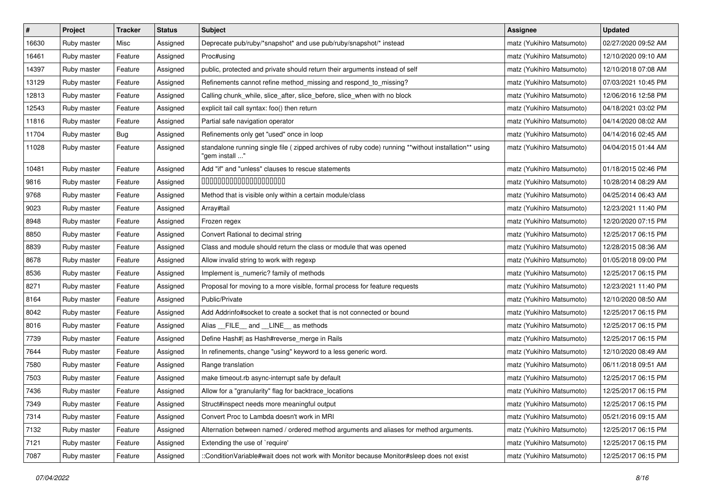| $\pmb{\#}$ | Project     | <b>Tracker</b> | <b>Status</b> | Subject                                                                                                                | Assignee                  | <b>Updated</b>      |
|------------|-------------|----------------|---------------|------------------------------------------------------------------------------------------------------------------------|---------------------------|---------------------|
| 16630      | Ruby master | Misc           | Assigned      | Deprecate pub/ruby/*snapshot* and use pub/ruby/snapshot/* instead                                                      | matz (Yukihiro Matsumoto) | 02/27/2020 09:52 AM |
| 16461      | Ruby master | Feature        | Assigned      | Proc#using                                                                                                             | matz (Yukihiro Matsumoto) | 12/10/2020 09:10 AM |
| 14397      | Ruby master | Feature        | Assigned      | public, protected and private should return their arguments instead of self                                            | matz (Yukihiro Matsumoto) | 12/10/2018 07:08 AM |
| 13129      | Ruby master | Feature        | Assigned      | Refinements cannot refine method_missing and respond_to_missing?                                                       | matz (Yukihiro Matsumoto) | 07/03/2021 10:45 PM |
| 12813      | Ruby master | Feature        | Assigned      | Calling chunk_while, slice_after, slice_before, slice_when with no block                                               | matz (Yukihiro Matsumoto) | 12/06/2016 12:58 PM |
| 12543      | Ruby master | Feature        | Assigned      | explicit tail call syntax: foo() then return                                                                           | matz (Yukihiro Matsumoto) | 04/18/2021 03:02 PM |
| 11816      | Ruby master | Feature        | Assigned      | Partial safe navigation operator                                                                                       | matz (Yukihiro Matsumoto) | 04/14/2020 08:02 AM |
| 11704      | Ruby master | Bug            | Assigned      | Refinements only get "used" once in loop                                                                               | matz (Yukihiro Matsumoto) | 04/14/2016 02:45 AM |
| 11028      | Ruby master | Feature        | Assigned      | standalone running single file (zipped archives of ruby code) running **without installation** using<br>"gem install " | matz (Yukihiro Matsumoto) | 04/04/2015 01:44 AM |
| 10481      | Ruby master | Feature        | Assigned      | Add "if" and "unless" clauses to rescue statements                                                                     | matz (Yukihiro Matsumoto) | 01/18/2015 02:46 PM |
| 9816       | Ruby master | Feature        | Assigned      | 00000000000000000000                                                                                                   | matz (Yukihiro Matsumoto) | 10/28/2014 08:29 AM |
| 9768       | Ruby master | Feature        | Assigned      | Method that is visible only within a certain module/class                                                              | matz (Yukihiro Matsumoto) | 04/25/2014 06:43 AM |
| 9023       | Ruby master | Feature        | Assigned      | Array#tail                                                                                                             | matz (Yukihiro Matsumoto) | 12/23/2021 11:40 PM |
| 8948       | Ruby master | Feature        | Assigned      | Frozen regex                                                                                                           | matz (Yukihiro Matsumoto) | 12/20/2020 07:15 PM |
| 8850       | Ruby master | Feature        | Assigned      | Convert Rational to decimal string                                                                                     | matz (Yukihiro Matsumoto) | 12/25/2017 06:15 PM |
| 8839       | Ruby master | Feature        | Assigned      | Class and module should return the class or module that was opened                                                     | matz (Yukihiro Matsumoto) | 12/28/2015 08:36 AM |
| 8678       | Ruby master | Feature        | Assigned      | Allow invalid string to work with regexp                                                                               | matz (Yukihiro Matsumoto) | 01/05/2018 09:00 PM |
| 8536       | Ruby master | Feature        | Assigned      | Implement is_numeric? family of methods                                                                                | matz (Yukihiro Matsumoto) | 12/25/2017 06:15 PM |
| 8271       | Ruby master | Feature        | Assigned      | Proposal for moving to a more visible, formal process for feature requests                                             | matz (Yukihiro Matsumoto) | 12/23/2021 11:40 PM |
| 8164       | Ruby master | Feature        | Assigned      | Public/Private                                                                                                         | matz (Yukihiro Matsumoto) | 12/10/2020 08:50 AM |
| 8042       | Ruby master | Feature        | Assigned      | Add Addrinfo#socket to create a socket that is not connected or bound                                                  | matz (Yukihiro Matsumoto) | 12/25/2017 06:15 PM |
| 8016       | Ruby master | Feature        | Assigned      | Alias __FILE__ and __LINE__ as methods                                                                                 | matz (Yukihiro Matsumoto) | 12/25/2017 06:15 PM |
| 7739       | Ruby master | Feature        | Assigned      | Define Hash#  as Hash#reverse_merge in Rails                                                                           | matz (Yukihiro Matsumoto) | 12/25/2017 06:15 PM |
| 7644       | Ruby master | Feature        | Assigned      | In refinements, change "using" keyword to a less generic word.                                                         | matz (Yukihiro Matsumoto) | 12/10/2020 08:49 AM |
| 7580       | Ruby master | Feature        | Assigned      | Range translation                                                                                                      | matz (Yukihiro Matsumoto) | 06/11/2018 09:51 AM |
| 7503       | Ruby master | Feature        | Assigned      | make timeout.rb async-interrupt safe by default                                                                        | matz (Yukihiro Matsumoto) | 12/25/2017 06:15 PM |
| 7436       | Ruby master | Feature        | Assigned      | Allow for a "granularity" flag for backtrace_locations                                                                 | matz (Yukihiro Matsumoto) | 12/25/2017 06:15 PM |
| 7349       | Ruby master | Feature        | Assigned      | Struct#inspect needs more meaningful output                                                                            | matz (Yukihiro Matsumoto) | 12/25/2017 06:15 PM |
| 7314       | Ruby master | Feature        | Assigned      | Convert Proc to Lambda doesn't work in MRI                                                                             | matz (Yukihiro Matsumoto) | 05/21/2016 09:15 AM |
| 7132       | Ruby master | Feature        | Assigned      | Alternation between named / ordered method arguments and aliases for method arguments.                                 | matz (Yukihiro Matsumoto) | 12/25/2017 06:15 PM |
| 7121       | Ruby master | Feature        | Assigned      | Extending the use of `require'                                                                                         | matz (Yukihiro Matsumoto) | 12/25/2017 06:15 PM |
| 7087       | Ruby master | Feature        | Assigned      | ::ConditionVariable#wait does not work with Monitor because Monitor#sleep does not exist                               | matz (Yukihiro Matsumoto) | 12/25/2017 06:15 PM |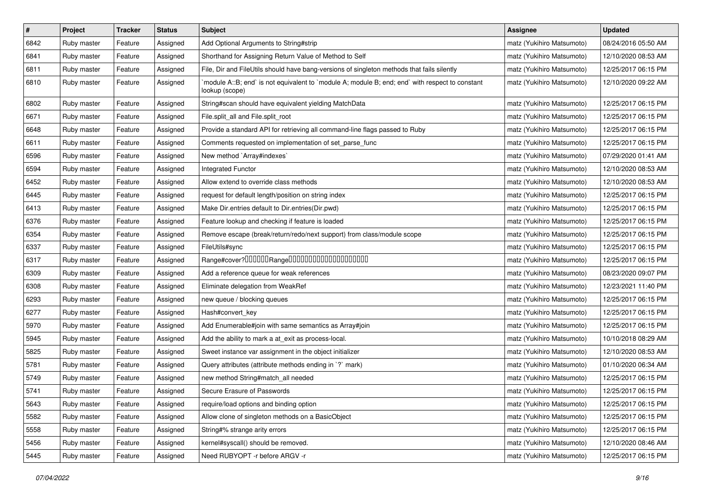| $\pmb{\#}$ | Project     | <b>Tracker</b> | <b>Status</b> | <b>Subject</b>                                                                                                   | <b>Assignee</b>           | <b>Updated</b>      |
|------------|-------------|----------------|---------------|------------------------------------------------------------------------------------------------------------------|---------------------------|---------------------|
| 6842       | Ruby master | Feature        | Assigned      | Add Optional Arguments to String#strip                                                                           | matz (Yukihiro Matsumoto) | 08/24/2016 05:50 AM |
| 6841       | Ruby master | Feature        | Assigned      | Shorthand for Assigning Return Value of Method to Self                                                           | matz (Yukihiro Matsumoto) | 12/10/2020 08:53 AM |
| 6811       | Ruby master | Feature        | Assigned      | File, Dir and FileUtils should have bang-versions of singleton methods that fails silently                       | matz (Yukihiro Matsumoto) | 12/25/2017 06:15 PM |
| 6810       | Ruby master | Feature        | Assigned      | module A::B; end` is not equivalent to `module A; module B; end; end` with respect to constant<br>lookup (scope) | matz (Yukihiro Matsumoto) | 12/10/2020 09:22 AM |
| 6802       | Ruby master | Feature        | Assigned      | String#scan should have equivalent yielding MatchData                                                            | matz (Yukihiro Matsumoto) | 12/25/2017 06:15 PM |
| 6671       | Ruby master | Feature        | Assigned      | File.split_all and File.split_root                                                                               | matz (Yukihiro Matsumoto) | 12/25/2017 06:15 PM |
| 6648       | Ruby master | Feature        | Assigned      | Provide a standard API for retrieving all command-line flags passed to Ruby                                      | matz (Yukihiro Matsumoto) | 12/25/2017 06:15 PM |
| 6611       | Ruby master | Feature        | Assigned      | Comments requested on implementation of set_parse_func                                                           | matz (Yukihiro Matsumoto) | 12/25/2017 06:15 PM |
| 6596       | Ruby master | Feature        | Assigned      | New method `Array#indexes`                                                                                       | matz (Yukihiro Matsumoto) | 07/29/2020 01:41 AM |
| 6594       | Ruby master | Feature        | Assigned      | Integrated Functor                                                                                               | matz (Yukihiro Matsumoto) | 12/10/2020 08:53 AM |
| 6452       | Ruby master | Feature        | Assigned      | Allow extend to override class methods                                                                           | matz (Yukihiro Matsumoto) | 12/10/2020 08:53 AM |
| 6445       | Ruby master | Feature        | Assigned      | request for default length/position on string index                                                              | matz (Yukihiro Matsumoto) | 12/25/2017 06:15 PM |
| 6413       | Ruby master | Feature        | Assigned      | Make Dir.entries default to Dir.entries(Dir.pwd)                                                                 | matz (Yukihiro Matsumoto) | 12/25/2017 06:15 PM |
| 6376       | Ruby master | Feature        | Assigned      | Feature lookup and checking if feature is loaded                                                                 | matz (Yukihiro Matsumoto) | 12/25/2017 06:15 PM |
| 6354       | Ruby master | Feature        | Assigned      | Remove escape (break/return/redo/next support) from class/module scope                                           | matz (Yukihiro Matsumoto) | 12/25/2017 06:15 PM |
| 6337       | Ruby master | Feature        | Assigned      | FileUtils#sync                                                                                                   | matz (Yukihiro Matsumoto) | 12/25/2017 06:15 PM |
| 6317       | Ruby master | Feature        | Assigned      |                                                                                                                  | matz (Yukihiro Matsumoto) | 12/25/2017 06:15 PM |
| 6309       | Ruby master | Feature        | Assigned      | Add a reference queue for weak references                                                                        | matz (Yukihiro Matsumoto) | 08/23/2020 09:07 PM |
| 6308       | Ruby master | Feature        | Assigned      | Eliminate delegation from WeakRef                                                                                | matz (Yukihiro Matsumoto) | 12/23/2021 11:40 PM |
| 6293       | Ruby master | Feature        | Assigned      | new queue / blocking queues                                                                                      | matz (Yukihiro Matsumoto) | 12/25/2017 06:15 PM |
| 6277       | Ruby master | Feature        | Assigned      | Hash#convert key                                                                                                 | matz (Yukihiro Matsumoto) | 12/25/2017 06:15 PM |
| 5970       | Ruby master | Feature        | Assigned      | Add Enumerable#join with same semantics as Array#join                                                            | matz (Yukihiro Matsumoto) | 12/25/2017 06:15 PM |
| 5945       | Ruby master | Feature        | Assigned      | Add the ability to mark a at_exit as process-local.                                                              | matz (Yukihiro Matsumoto) | 10/10/2018 08:29 AM |
| 5825       | Ruby master | Feature        | Assigned      | Sweet instance var assignment in the object initializer                                                          | matz (Yukihiro Matsumoto) | 12/10/2020 08:53 AM |
| 5781       | Ruby master | Feature        | Assigned      | Query attributes (attribute methods ending in `?` mark)                                                          | matz (Yukihiro Matsumoto) | 01/10/2020 06:34 AM |
| 5749       | Ruby master | Feature        | Assigned      | new method String#match_all needed                                                                               | matz (Yukihiro Matsumoto) | 12/25/2017 06:15 PM |
| 5741       | Ruby master | Feature        | Assigned      | Secure Erasure of Passwords                                                                                      | matz (Yukihiro Matsumoto) | 12/25/2017 06:15 PM |
| 5643       | Ruby master | Feature        | Assigned      | require/load options and binding option                                                                          | matz (Yukihiro Matsumoto) | 12/25/2017 06:15 PM |
| 5582       | Ruby master | Feature        | Assigned      | Allow clone of singleton methods on a BasicObject                                                                | matz (Yukihiro Matsumoto) | 12/25/2017 06:15 PM |
| 5558       | Ruby master | Feature        | Assigned      | String#% strange arity errors                                                                                    | matz (Yukihiro Matsumoto) | 12/25/2017 06:15 PM |
| 5456       | Ruby master | Feature        | Assigned      | kernel#syscall() should be removed.                                                                              | matz (Yukihiro Matsumoto) | 12/10/2020 08:46 AM |
| 5445       | Ruby master | Feature        | Assigned      | Need RUBYOPT - r before ARGV - r                                                                                 | matz (Yukihiro Matsumoto) | 12/25/2017 06:15 PM |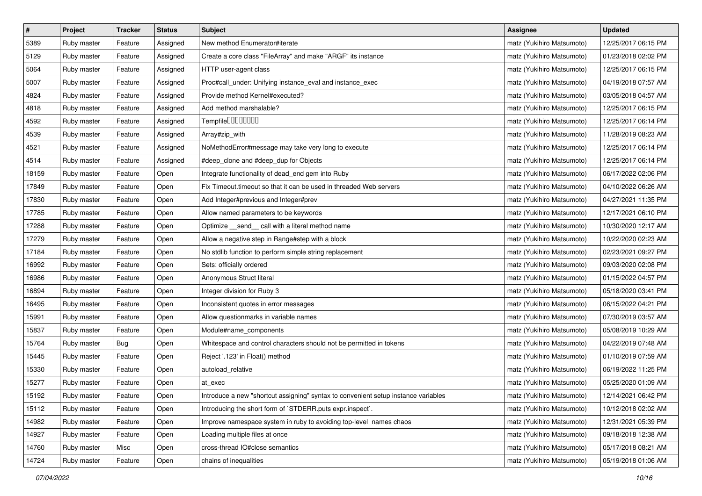| $\pmb{\#}$ | Project     | <b>Tracker</b> | <b>Status</b> | <b>Subject</b>                                                                     | <b>Assignee</b>           | <b>Updated</b>      |
|------------|-------------|----------------|---------------|------------------------------------------------------------------------------------|---------------------------|---------------------|
| 5389       | Ruby master | Feature        | Assigned      | New method Enumerator#iterate                                                      | matz (Yukihiro Matsumoto) | 12/25/2017 06:15 PM |
| 5129       | Ruby master | Feature        | Assigned      | Create a core class "FileArray" and make "ARGF" its instance                       | matz (Yukihiro Matsumoto) | 01/23/2018 02:02 PM |
| 5064       | Ruby master | Feature        | Assigned      | HTTP user-agent class                                                              | matz (Yukihiro Matsumoto) | 12/25/2017 06:15 PM |
| 5007       | Ruby master | Feature        | Assigned      | Proc#call_under: Unifying instance_eval and instance_exec                          | matz (Yukihiro Matsumoto) | 04/19/2018 07:57 AM |
| 4824       | Ruby master | Feature        | Assigned      | Provide method Kernel#executed?                                                    | matz (Yukihiro Matsumoto) | 03/05/2018 04:57 AM |
| 4818       | Ruby master | Feature        | Assigned      | Add method marshalable?                                                            | matz (Yukihiro Matsumoto) | 12/25/2017 06:15 PM |
| 4592       | Ruby master | Feature        | Assigned      | Tempfile0000000                                                                    | matz (Yukihiro Matsumoto) | 12/25/2017 06:14 PM |
| 4539       | Ruby master | Feature        | Assigned      | Array#zip_with                                                                     | matz (Yukihiro Matsumoto) | 11/28/2019 08:23 AM |
| 4521       | Ruby master | Feature        | Assigned      | NoMethodError#message may take very long to execute                                | matz (Yukihiro Matsumoto) | 12/25/2017 06:14 PM |
| 4514       | Ruby master | Feature        | Assigned      | #deep_clone and #deep_dup for Objects                                              | matz (Yukihiro Matsumoto) | 12/25/2017 06:14 PM |
| 18159      | Ruby master | Feature        | Open          | Integrate functionality of dead_end gem into Ruby                                  | matz (Yukihiro Matsumoto) | 06/17/2022 02:06 PM |
| 17849      | Ruby master | Feature        | Open          | Fix Timeout.timeout so that it can be used in threaded Web servers                 | matz (Yukihiro Matsumoto) | 04/10/2022 06:26 AM |
| 17830      | Ruby master | Feature        | Open          | Add Integer#previous and Integer#prev                                              | matz (Yukihiro Matsumoto) | 04/27/2021 11:35 PM |
| 17785      | Ruby master | Feature        | Open          | Allow named parameters to be keywords                                              | matz (Yukihiro Matsumoto) | 12/17/2021 06:10 PM |
| 17288      | Ruby master | Feature        | Open          | Optimize __send__ call with a literal method name                                  | matz (Yukihiro Matsumoto) | 10/30/2020 12:17 AM |
| 17279      | Ruby master | Feature        | Open          | Allow a negative step in Range#step with a block                                   | matz (Yukihiro Matsumoto) | 10/22/2020 02:23 AM |
| 17184      | Ruby master | Feature        | Open          | No stdlib function to perform simple string replacement                            | matz (Yukihiro Matsumoto) | 02/23/2021 09:27 PM |
| 16992      | Ruby master | Feature        | Open          | Sets: officially ordered                                                           | matz (Yukihiro Matsumoto) | 09/03/2020 02:08 PM |
| 16986      | Ruby master | Feature        | Open          | Anonymous Struct literal                                                           | matz (Yukihiro Matsumoto) | 01/15/2022 04:57 PM |
| 16894      | Ruby master | Feature        | Open          | Integer division for Ruby 3                                                        | matz (Yukihiro Matsumoto) | 05/18/2020 03:41 PM |
| 16495      | Ruby master | Feature        | Open          | Inconsistent quotes in error messages                                              | matz (Yukihiro Matsumoto) | 06/15/2022 04:21 PM |
| 15991      | Ruby master | Feature        | Open          | Allow questionmarks in variable names                                              | matz (Yukihiro Matsumoto) | 07/30/2019 03:57 AM |
| 15837      | Ruby master | Feature        | Open          | Module#name_components                                                             | matz (Yukihiro Matsumoto) | 05/08/2019 10:29 AM |
| 15764      | Ruby master | Bug            | Open          | Whitespace and control characters should not be permitted in tokens                | matz (Yukihiro Matsumoto) | 04/22/2019 07:48 AM |
| 15445      | Ruby master | Feature        | Open          | Reject '.123' in Float() method                                                    | matz (Yukihiro Matsumoto) | 01/10/2019 07:59 AM |
| 15330      | Ruby master | Feature        | Open          | autoload_relative                                                                  | matz (Yukihiro Matsumoto) | 06/19/2022 11:25 PM |
| 15277      | Ruby master | Feature        | Open          | at exec                                                                            | matz (Yukihiro Matsumoto) | 05/25/2020 01:09 AM |
| 15192      | Ruby master | Feature        | Open          | Introduce a new "shortcut assigning" syntax to convenient setup instance variables | matz (Yukihiro Matsumoto) | 12/14/2021 06:42 PM |
| 15112      | Ruby master | Feature        | Open          | Introducing the short form of `STDERR.puts expr.inspect`.                          | matz (Yukihiro Matsumoto) | 10/12/2018 02:02 AM |
| 14982      | Ruby master | Feature        | Open          | Improve namespace system in ruby to avoiding top-level names chaos                 | matz (Yukihiro Matsumoto) | 12/31/2021 05:39 PM |
| 14927      | Ruby master | Feature        | Open          | Loading multiple files at once                                                     | matz (Yukihiro Matsumoto) | 09/18/2018 12:38 AM |
| 14760      | Ruby master | Misc           | Open          | cross-thread IO#close semantics                                                    | matz (Yukihiro Matsumoto) | 05/17/2018 08:21 AM |
| 14724      | Ruby master | Feature        | Open          | chains of inequalities                                                             | matz (Yukihiro Matsumoto) | 05/19/2018 01:06 AM |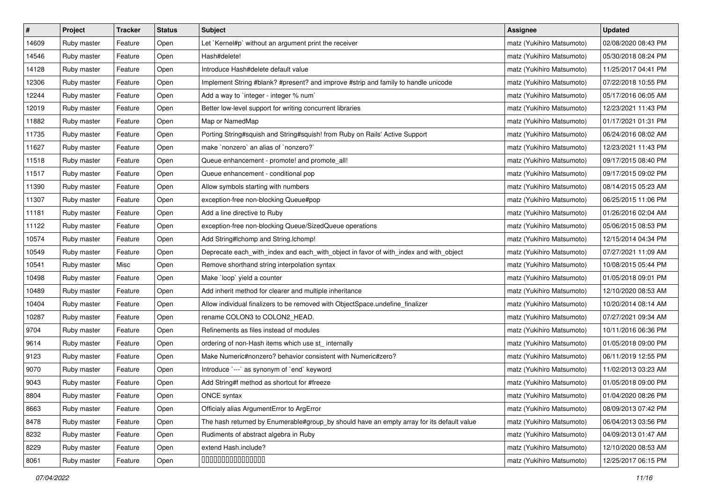| $\vert$ # | Project     | Tracker | <b>Status</b> | <b>Subject</b>                                                                            | <b>Assignee</b>           | <b>Updated</b>      |
|-----------|-------------|---------|---------------|-------------------------------------------------------------------------------------------|---------------------------|---------------------|
| 14609     | Ruby master | Feature | Open          | Let `Kernel#p` without an argument print the receiver                                     | matz (Yukihiro Matsumoto) | 02/08/2020 08:43 PM |
| 14546     | Ruby master | Feature | Open          | Hash#delete!                                                                              | matz (Yukihiro Matsumoto) | 05/30/2018 08:24 PM |
| 14128     | Ruby master | Feature | Open          | Introduce Hash#delete default value                                                       | matz (Yukihiro Matsumoto) | 11/25/2017 04:41 PM |
| 12306     | Ruby master | Feature | Open          | Implement String #blank? #present? and improve #strip and family to handle unicode        | matz (Yukihiro Matsumoto) | 07/22/2018 10:55 PM |
| 12244     | Ruby master | Feature | Open          | Add a way to `integer - integer % num`                                                    | matz (Yukihiro Matsumoto) | 05/17/2016 06:05 AM |
| 12019     | Ruby master | Feature | Open          | Better low-level support for writing concurrent libraries                                 | matz (Yukihiro Matsumoto) | 12/23/2021 11:43 PM |
| 11882     | Ruby master | Feature | Open          | Map or NamedMap                                                                           | matz (Yukihiro Matsumoto) | 01/17/2021 01:31 PM |
| 11735     | Ruby master | Feature | Open          | Porting String#squish and String#squish! from Ruby on Rails' Active Support               | matz (Yukihiro Matsumoto) | 06/24/2016 08:02 AM |
| 11627     | Ruby master | Feature | Open          | make `nonzero` an alias of `nonzero?`                                                     | matz (Yukihiro Matsumoto) | 12/23/2021 11:43 PM |
| 11518     | Ruby master | Feature | Open          | Queue enhancement - promote! and promote_all!                                             | matz (Yukihiro Matsumoto) | 09/17/2015 08:40 PM |
| 11517     | Ruby master | Feature | Open          | Queue enhancement - conditional pop                                                       | matz (Yukihiro Matsumoto) | 09/17/2015 09:02 PM |
| 11390     | Ruby master | Feature | Open          | Allow symbols starting with numbers                                                       | matz (Yukihiro Matsumoto) | 08/14/2015 05:23 AM |
| 11307     | Ruby master | Feature | Open          | exception-free non-blocking Queue#pop                                                     | matz (Yukihiro Matsumoto) | 06/25/2015 11:06 PM |
| 11181     | Ruby master | Feature | Open          | Add a line directive to Ruby                                                              | matz (Yukihiro Matsumoto) | 01/26/2016 02:04 AM |
| 11122     | Ruby master | Feature | Open          | exception-free non-blocking Queue/SizedQueue operations                                   | matz (Yukihiro Matsumoto) | 05/06/2015 08:53 PM |
| 10574     | Ruby master | Feature | Open          | Add String#Ichomp and String.Ichomp!                                                      | matz (Yukihiro Matsumoto) | 12/15/2014 04:34 PM |
| 10549     | Ruby master | Feature | Open          | Deprecate each_with_index and each_with_object in favor of with_index and with_object     | matz (Yukihiro Matsumoto) | 07/27/2021 11:09 AM |
| 10541     | Ruby master | Misc    | Open          | Remove shorthand string interpolation syntax                                              | matz (Yukihiro Matsumoto) | 10/08/2015 05:44 PM |
| 10498     | Ruby master | Feature | Open          | Make `loop` yield a counter                                                               | matz (Yukihiro Matsumoto) | 01/05/2018 09:01 PM |
| 10489     | Ruby master | Feature | Open          | Add inherit method for clearer and multiple inheritance                                   | matz (Yukihiro Matsumoto) | 12/10/2020 08:53 AM |
| 10404     | Ruby master | Feature | Open          | Allow individual finalizers to be removed with ObjectSpace.undefine_finalizer             | matz (Yukihiro Matsumoto) | 10/20/2014 08:14 AM |
| 10287     | Ruby master | Feature | Open          | rename COLON3 to COLON2_HEAD.                                                             | matz (Yukihiro Matsumoto) | 07/27/2021 09:34 AM |
| 9704      | Ruby master | Feature | Open          | Refinements as files instead of modules                                                   | matz (Yukihiro Matsumoto) | 10/11/2016 06:36 PM |
| 9614      | Ruby master | Feature | Open          | ordering of non-Hash items which use st_ internally                                       | matz (Yukihiro Matsumoto) | 01/05/2018 09:00 PM |
| 9123      | Ruby master | Feature | Open          | Make Numeric#nonzero? behavior consistent with Numeric#zero?                              | matz (Yukihiro Matsumoto) | 06/11/2019 12:55 PM |
| 9070      | Ruby master | Feature | Open          | Introduce `---` as synonym of `end` keyword                                               | matz (Yukihiro Matsumoto) | 11/02/2013 03:23 AM |
| 9043      | Ruby master | Feature | Open          | Add String#f method as shortcut for #freeze                                               | matz (Yukihiro Matsumoto) | 01/05/2018 09:00 PM |
| 8804      | Ruby master | Feature | Open          | ONCE syntax                                                                               | matz (Yukihiro Matsumoto) | 01/04/2020 08:26 PM |
| 8663      | Ruby master | Feature | Open          | Officialy alias ArgumentError to ArgError                                                 | matz (Yukihiro Matsumoto) | 08/09/2013 07:42 PM |
| 8478      | Ruby master | Feature | Open          | The hash returned by Enumerable#group_by should have an empty array for its default value | matz (Yukihiro Matsumoto) | 06/04/2013 03:56 PM |
| 8232      | Ruby master | Feature | Open          | Rudiments of abstract algebra in Ruby                                                     | matz (Yukihiro Matsumoto) | 04/09/2013 01:47 AM |
| 8229      | Ruby master | Feature | Open          | extend Hash.include?                                                                      | matz (Yukihiro Matsumoto) | 12/10/2020 08:53 AM |
| 8061      | Ruby master | Feature | Open          | 000000000000000                                                                           | matz (Yukihiro Matsumoto) | 12/25/2017 06:15 PM |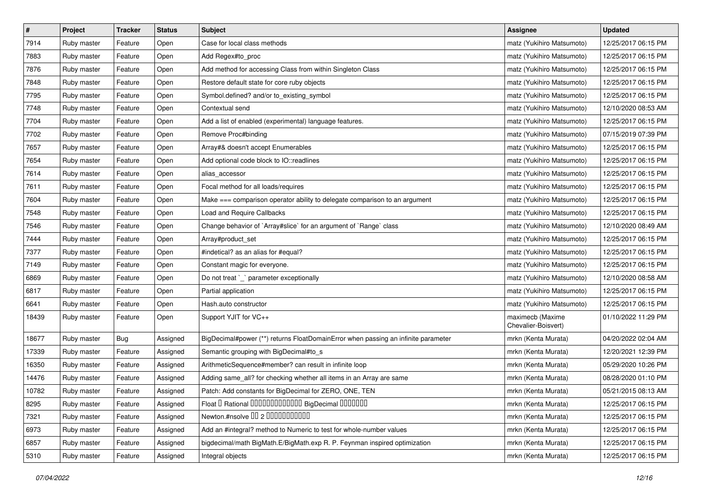| $\pmb{\#}$ | Project     | Tracker | <b>Status</b> | <b>Subject</b>                                                                    | <b>Assignee</b>                         | <b>Updated</b>      |
|------------|-------------|---------|---------------|-----------------------------------------------------------------------------------|-----------------------------------------|---------------------|
| 7914       | Ruby master | Feature | Open          | Case for local class methods                                                      | matz (Yukihiro Matsumoto)               | 12/25/2017 06:15 PM |
| 7883       | Ruby master | Feature | Open          | Add Regex#to_proc                                                                 | matz (Yukihiro Matsumoto)               | 12/25/2017 06:15 PM |
| 7876       | Ruby master | Feature | Open          | Add method for accessing Class from within Singleton Class                        | matz (Yukihiro Matsumoto)               | 12/25/2017 06:15 PM |
| 7848       | Ruby master | Feature | Open          | Restore default state for core ruby objects                                       | matz (Yukihiro Matsumoto)               | 12/25/2017 06:15 PM |
| 7795       | Ruby master | Feature | Open          | Symbol.defined? and/or to_existing_symbol                                         | matz (Yukihiro Matsumoto)               | 12/25/2017 06:15 PM |
| 7748       | Ruby master | Feature | Open          | Contextual send                                                                   | matz (Yukihiro Matsumoto)               | 12/10/2020 08:53 AM |
| 7704       | Ruby master | Feature | Open          | Add a list of enabled (experimental) language features.                           | matz (Yukihiro Matsumoto)               | 12/25/2017 06:15 PM |
| 7702       | Ruby master | Feature | Open          | Remove Proc#binding                                                               | matz (Yukihiro Matsumoto)               | 07/15/2019 07:39 PM |
| 7657       | Ruby master | Feature | Open          | Array#& doesn't accept Enumerables                                                | matz (Yukihiro Matsumoto)               | 12/25/2017 06:15 PM |
| 7654       | Ruby master | Feature | Open          | Add optional code block to IO::readlines                                          | matz (Yukihiro Matsumoto)               | 12/25/2017 06:15 PM |
| 7614       | Ruby master | Feature | Open          | alias_accessor                                                                    | matz (Yukihiro Matsumoto)               | 12/25/2017 06:15 PM |
| 7611       | Ruby master | Feature | Open          | Focal method for all loads/requires                                               | matz (Yukihiro Matsumoto)               | 12/25/2017 06:15 PM |
| 7604       | Ruby master | Feature | Open          | Make === comparison operator ability to delegate comparison to an argument        | matz (Yukihiro Matsumoto)               | 12/25/2017 06:15 PM |
| 7548       | Ruby master | Feature | Open          | <b>Load and Require Callbacks</b>                                                 | matz (Yukihiro Matsumoto)               | 12/25/2017 06:15 PM |
| 7546       | Ruby master | Feature | Open          | Change behavior of `Array#slice` for an argument of `Range` class                 | matz (Yukihiro Matsumoto)               | 12/10/2020 08:49 AM |
| 7444       | Ruby master | Feature | Open          | Array#product_set                                                                 | matz (Yukihiro Matsumoto)               | 12/25/2017 06:15 PM |
| 7377       | Ruby master | Feature | Open          | #indetical? as an alias for #equal?                                               | matz (Yukihiro Matsumoto)               | 12/25/2017 06:15 PM |
| 7149       | Ruby master | Feature | Open          | Constant magic for everyone.                                                      | matz (Yukihiro Matsumoto)               | 12/25/2017 06:15 PM |
| 6869       | Ruby master | Feature | Open          | Do not treat `_` parameter exceptionally                                          | matz (Yukihiro Matsumoto)               | 12/10/2020 08:58 AM |
| 6817       | Ruby master | Feature | Open          | Partial application                                                               | matz (Yukihiro Matsumoto)               | 12/25/2017 06:15 PM |
| 6641       | Ruby master | Feature | Open          | Hash.auto constructor                                                             | matz (Yukihiro Matsumoto)               | 12/25/2017 06:15 PM |
| 18439      | Ruby master | Feature | Open          | Support YJIT for VC++                                                             | maximecb (Maxime<br>Chevalier-Boisvert) | 01/10/2022 11:29 PM |
| 18677      | Ruby master | Bug     | Assigned      | BigDecimal#power (**) returns FloatDomainError when passing an infinite parameter | mrkn (Kenta Murata)                     | 04/20/2022 02:04 AM |
| 17339      | Ruby master | Feature | Assigned      | Semantic grouping with BigDecimal#to_s                                            | mrkn (Kenta Murata)                     | 12/20/2021 12:39 PM |
| 16350      | Ruby master | Feature | Assigned      | ArithmeticSequence#member? can result in infinite loop                            | mrkn (Kenta Murata)                     | 05/29/2020 10:26 PM |
| 14476      | Ruby master | Feature | Assigned      | Adding same_all? for checking whether all items in an Array are same              | mrkn (Kenta Murata)                     | 08/28/2020 01:10 PM |
| 10782      | Ruby master | Feature | Assigned      | Patch: Add constants for BigDecimal for ZERO, ONE, TEN                            | mrkn (Kenta Murata)                     | 05/21/2015 08:13 AM |
| 8295       | Ruby master | Feature | Assigned      | Float I Rational IIIIIIIIIIIIIIIIIII BigDecimal IIIIIIIIII                        | mrkn (Kenta Murata)                     | 12/25/2017 06:15 PM |
| 7321       | Ruby master | Feature | Assigned      | Newton.#nsolve 00 2 00000000000                                                   | mrkn (Kenta Murata)                     | 12/25/2017 06:15 PM |
| 6973       | Ruby master | Feature | Assigned      | Add an #integral? method to Numeric to test for whole-number values               | mrkn (Kenta Murata)                     | 12/25/2017 06:15 PM |
| 6857       | Ruby master | Feature | Assigned      | bigdecimal/math BigMath.E/BigMath.exp R. P. Feynman inspired optimization         | mrkn (Kenta Murata)                     | 12/25/2017 06:15 PM |
| 5310       | Ruby master | Feature | Assigned      | Integral objects                                                                  | mrkn (Kenta Murata)                     | 12/25/2017 06:15 PM |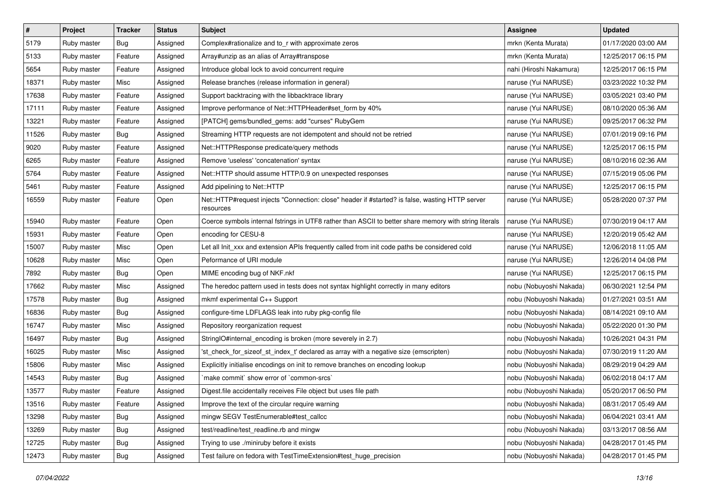| $\pmb{\#}$ | Project     | <b>Tracker</b> | <b>Status</b> | <b>Subject</b>                                                                                               | Assignee                | <b>Updated</b>      |
|------------|-------------|----------------|---------------|--------------------------------------------------------------------------------------------------------------|-------------------------|---------------------|
| 5179       | Ruby master | Bug            | Assigned      | Complex#rationalize and to_r with approximate zeros                                                          | mrkn (Kenta Murata)     | 01/17/2020 03:00 AM |
| 5133       | Ruby master | Feature        | Assigned      | Array#unzip as an alias of Array#transpose                                                                   | mrkn (Kenta Murata)     | 12/25/2017 06:15 PM |
| 5654       | Ruby master | Feature        | Assigned      | Introduce global lock to avoid concurrent require                                                            | nahi (Hiroshi Nakamura) | 12/25/2017 06:15 PM |
| 18371      | Ruby master | Misc           | Assigned      | Release branches (release information in general)                                                            | naruse (Yui NARUSE)     | 03/23/2022 10:32 PM |
| 17638      | Ruby master | Feature        | Assigned      | Support backtracing with the libbacktrace library                                                            | naruse (Yui NARUSE)     | 03/05/2021 03:40 PM |
| 17111      | Ruby master | Feature        | Assigned      | Improve performance of Net::HTTPHeader#set form by 40%                                                       | naruse (Yui NARUSE)     | 08/10/2020 05:36 AM |
| 13221      | Ruby master | Feature        | Assigned      | [PATCH] gems/bundled_gems: add "curses" RubyGem                                                              | naruse (Yui NARUSE)     | 09/25/2017 06:32 PM |
| 11526      | Ruby master | Bug            | Assigned      | Streaming HTTP requests are not idempotent and should not be retried                                         | naruse (Yui NARUSE)     | 07/01/2019 09:16 PM |
| 9020       | Ruby master | Feature        | Assigned      | Net::HTTPResponse predicate/query methods                                                                    | naruse (Yui NARUSE)     | 12/25/2017 06:15 PM |
| 6265       | Ruby master | Feature        | Assigned      | Remove 'useless' 'concatenation' syntax                                                                      | naruse (Yui NARUSE)     | 08/10/2016 02:36 AM |
| 5764       | Ruby master | Feature        | Assigned      | Net::HTTP should assume HTTP/0.9 on unexpected responses                                                     | naruse (Yui NARUSE)     | 07/15/2019 05:06 PM |
| 5461       | Ruby master | Feature        | Assigned      | Add pipelining to Net::HTTP                                                                                  | naruse (Yui NARUSE)     | 12/25/2017 06:15 PM |
| 16559      | Ruby master | Feature        | Open          | Net::HTTP#request injects "Connection: close" header if #started? is false, wasting HTTP server<br>resources | naruse (Yui NARUSE)     | 05/28/2020 07:37 PM |
| 15940      | Ruby master | Feature        | Open          | Coerce symbols internal fstrings in UTF8 rather than ASCII to better share memory with string literals       | naruse (Yui NARUSE)     | 07/30/2019 04:17 AM |
| 15931      | Ruby master | Feature        | Open          | encoding for CESU-8                                                                                          | naruse (Yui NARUSE)     | 12/20/2019 05:42 AM |
| 15007      | Ruby master | Misc           | Open          | Let all Init_xxx and extension APIs frequently called from init code paths be considered cold                | naruse (Yui NARUSE)     | 12/06/2018 11:05 AM |
| 10628      | Ruby master | Misc           | Open          | Peformance of URI module                                                                                     | naruse (Yui NARUSE)     | 12/26/2014 04:08 PM |
| 7892       | Ruby master | <b>Bug</b>     | Open          | MIME encoding bug of NKF.nkf                                                                                 | naruse (Yui NARUSE)     | 12/25/2017 06:15 PM |
| 17662      | Ruby master | Misc           | Assigned      | The heredoc pattern used in tests does not syntax highlight correctly in many editors                        | nobu (Nobuyoshi Nakada) | 06/30/2021 12:54 PM |
| 17578      | Ruby master | Bug            | Assigned      | mkmf experimental C++ Support                                                                                | nobu (Nobuyoshi Nakada) | 01/27/2021 03:51 AM |
| 16836      | Ruby master | Bug            | Assigned      | configure-time LDFLAGS leak into ruby pkg-config file                                                        | nobu (Nobuyoshi Nakada) | 08/14/2021 09:10 AM |
| 16747      | Ruby master | Misc           | Assigned      | Repository reorganization request                                                                            | nobu (Nobuyoshi Nakada) | 05/22/2020 01:30 PM |
| 16497      | Ruby master | Bug            | Assigned      | StringIO#internal_encoding is broken (more severely in 2.7)                                                  | nobu (Nobuyoshi Nakada) | 10/26/2021 04:31 PM |
| 16025      | Ruby master | Misc           | Assigned      | 'st_check_for_sizeof_st_index_t' declared as array with a negative size (emscripten)                         | nobu (Nobuyoshi Nakada) | 07/30/2019 11:20 AM |
| 15806      | Ruby master | Misc           | Assigned      | Explicitly initialise encodings on init to remove branches on encoding lookup                                | nobu (Nobuyoshi Nakada) | 08/29/2019 04:29 AM |
| 14543      | Ruby master | Bug            | Assigned      | 'make commit' show error of 'common-srcs'                                                                    | nobu (Nobuyoshi Nakada) | 06/02/2018 04:17 AM |
| 13577      | Ruby master | Feature        | Assigned      | Digest file accidentally receives File object but uses file path                                             | nobu (Nobuyoshi Nakada) | 05/20/2017 06:50 PM |
| 13516      | Ruby master | Feature        | Assigned      | Improve the text of the circular require warning                                                             | nobu (Nobuyoshi Nakada) | 08/31/2017 05:49 AM |
| 13298      | Ruby master | <b>Bug</b>     | Assigned      | mingw SEGV TestEnumerable#test_callcc                                                                        | nobu (Nobuyoshi Nakada) | 06/04/2021 03:41 AM |
| 13269      | Ruby master | Bug            | Assigned      | test/readline/test_readline.rb and mingw                                                                     | nobu (Nobuyoshi Nakada) | 03/13/2017 08:56 AM |
| 12725      | Ruby master | <b>Bug</b>     | Assigned      | Trying to use ./miniruby before it exists                                                                    | nobu (Nobuyoshi Nakada) | 04/28/2017 01:45 PM |
| 12473      | Ruby master | <b>Bug</b>     | Assigned      | Test failure on fedora with TestTimeExtension#test_huge_precision                                            | nobu (Nobuyoshi Nakada) | 04/28/2017 01:45 PM |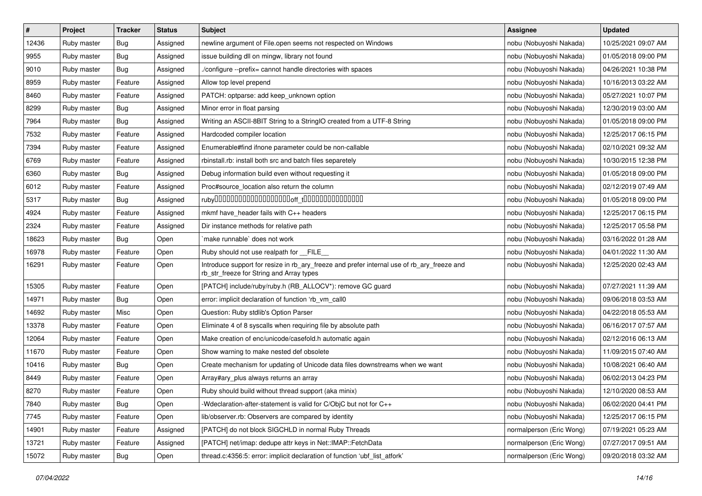| $\pmb{\#}$ | Project     | <b>Tracker</b> | <b>Status</b> | <b>Subject</b>                                                                                                                         | <b>Assignee</b>          | <b>Updated</b>      |
|------------|-------------|----------------|---------------|----------------------------------------------------------------------------------------------------------------------------------------|--------------------------|---------------------|
| 12436      | Ruby master | Bug            | Assigned      | newline argument of File.open seems not respected on Windows                                                                           | nobu (Nobuyoshi Nakada)  | 10/25/2021 09:07 AM |
| 9955       | Ruby master | Bug            | Assigned      | issue building dll on mingw, library not found                                                                                         | nobu (Nobuyoshi Nakada)  | 01/05/2018 09:00 PM |
| 9010       | Ruby master | Bug            | Assigned      | ./configure --prefix= cannot handle directories with spaces                                                                            | nobu (Nobuyoshi Nakada)  | 04/26/2021 10:38 PM |
| 8959       | Ruby master | Feature        | Assigned      | Allow top level prepend                                                                                                                | nobu (Nobuyoshi Nakada)  | 10/16/2013 03:22 AM |
| 8460       | Ruby master | Feature        | Assigned      | PATCH: optparse: add keep_unknown option                                                                                               | nobu (Nobuyoshi Nakada)  | 05/27/2021 10:07 PM |
| 8299       | Ruby master | Bug            | Assigned      | Minor error in float parsing                                                                                                           | nobu (Nobuyoshi Nakada)  | 12/30/2019 03:00 AM |
| 7964       | Ruby master | Bug            | Assigned      | Writing an ASCII-8BIT String to a StringIO created from a UTF-8 String                                                                 | nobu (Nobuyoshi Nakada)  | 01/05/2018 09:00 PM |
| 7532       | Ruby master | Feature        | Assigned      | Hardcoded compiler location                                                                                                            | nobu (Nobuyoshi Nakada)  | 12/25/2017 06:15 PM |
| 7394       | Ruby master | Feature        | Assigned      | Enumerable#find ifnone parameter could be non-callable                                                                                 | nobu (Nobuyoshi Nakada)  | 02/10/2021 09:32 AM |
| 6769       | Ruby master | Feature        | Assigned      | rbinstall.rb: install both src and batch files separetely                                                                              | nobu (Nobuyoshi Nakada)  | 10/30/2015 12:38 PM |
| 6360       | Ruby master | Bug            | Assigned      | Debug information build even without requesting it                                                                                     | nobu (Nobuyoshi Nakada)  | 01/05/2018 09:00 PM |
| 6012       | Ruby master | Feature        | Assigned      | Proc#source_location also return the column                                                                                            | nobu (Nobuyoshi Nakada)  | 02/12/2019 07:49 AM |
| 5317       | Ruby master | Bug            | Assigned      |                                                                                                                                        | nobu (Nobuyoshi Nakada)  | 01/05/2018 09:00 PM |
| 4924       | Ruby master | Feature        | Assigned      | mkmf have_header fails with C++ headers                                                                                                | nobu (Nobuyoshi Nakada)  | 12/25/2017 06:15 PM |
| 2324       | Ruby master | Feature        | Assigned      | Dir instance methods for relative path                                                                                                 | nobu (Nobuyoshi Nakada)  | 12/25/2017 05:58 PM |
| 18623      | Ruby master | Bug            | Open          | make runnable' does not work                                                                                                           | nobu (Nobuyoshi Nakada)  | 03/16/2022 01:28 AM |
| 16978      | Ruby master | Feature        | Open          | Ruby should not use realpath for FILE                                                                                                  | nobu (Nobuyoshi Nakada)  | 04/01/2022 11:30 AM |
| 16291      | Ruby master | Feature        | Open          | Introduce support for resize in rb_ary_freeze and prefer internal use of rb_ary_freeze and<br>rb_str_freeze for String and Array types | nobu (Nobuyoshi Nakada)  | 12/25/2020 02:43 AM |
| 15305      | Ruby master | Feature        | Open          | [PATCH] include/ruby/ruby.h (RB_ALLOCV*): remove GC guard                                                                              | nobu (Nobuyoshi Nakada)  | 07/27/2021 11:39 AM |
| 14971      | Ruby master | Bug            | Open          | error: implicit declaration of function 'rb_vm_call0                                                                                   | nobu (Nobuyoshi Nakada)  | 09/06/2018 03:53 AM |
| 14692      | Ruby master | Misc           | Open          | Question: Ruby stdlib's Option Parser                                                                                                  | nobu (Nobuyoshi Nakada)  | 04/22/2018 05:53 AM |
| 13378      | Ruby master | Feature        | Open          | Eliminate 4 of 8 syscalls when requiring file by absolute path                                                                         | nobu (Nobuyoshi Nakada)  | 06/16/2017 07:57 AM |
| 12064      | Ruby master | Feature        | Open          | Make creation of enc/unicode/casefold.h automatic again                                                                                | nobu (Nobuyoshi Nakada)  | 02/12/2016 06:13 AM |
| 11670      | Ruby master | Feature        | Open          | Show warning to make nested def obsolete                                                                                               | nobu (Nobuyoshi Nakada)  | 11/09/2015 07:40 AM |
| 10416      | Ruby master | Bug            | Open          | Create mechanism for updating of Unicode data files downstreams when we want                                                           | nobu (Nobuyoshi Nakada)  | 10/08/2021 06:40 AM |
| 8449       | Ruby master | Feature        | Open          | Array#ary_plus always returns an array                                                                                                 | nobu (Nobuyoshi Nakada)  | 06/02/2013 04:23 PM |
| 8270       | Ruby master | Feature        | Open          | Ruby should build without thread support (aka minix)                                                                                   | nobu (Nobuyoshi Nakada)  | 12/10/2020 08:53 AM |
| 7840       | Ruby master | Bug            | Open          | -Wdeclaration-after-statement is valid for C/ObjC but not for C++                                                                      | nobu (Nobuyoshi Nakada)  | 06/02/2020 04:41 PM |
| 7745       | Ruby master | Feature        | Open          | lib/observer.rb: Observers are compared by identity                                                                                    | nobu (Nobuyoshi Nakada)  | 12/25/2017 06:15 PM |
| 14901      | Ruby master | Feature        | Assigned      | [PATCH] do not block SIGCHLD in normal Ruby Threads                                                                                    | normalperson (Eric Wong) | 07/19/2021 05:23 AM |
| 13721      | Ruby master | Feature        | Assigned      | [PATCH] net/imap: dedupe attr keys in Net::IMAP::FetchData                                                                             | normalperson (Eric Wong) | 07/27/2017 09:51 AM |
| 15072      | Ruby master | <b>Bug</b>     | Open          | thread.c:4356:5: error: implicit declaration of function 'ubf_list_atfork'                                                             | normalperson (Eric Wong) | 09/20/2018 03:32 AM |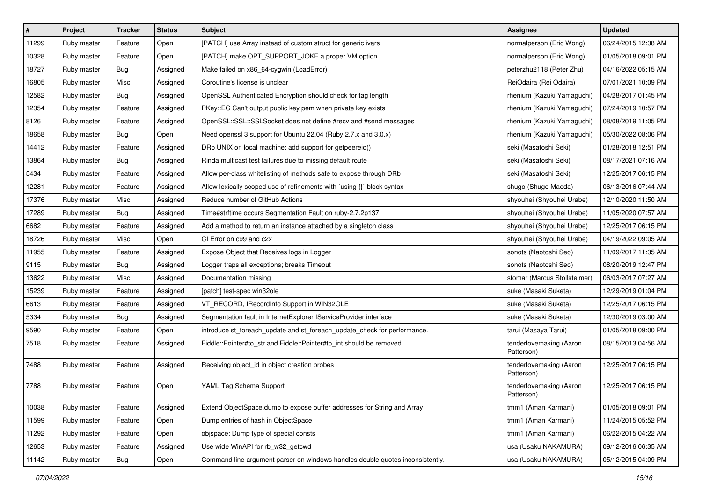| $\vert$ # | Project     | Tracker    | <b>Status</b> | <b>Subject</b>                                                                | <b>Assignee</b>                       | <b>Updated</b>      |
|-----------|-------------|------------|---------------|-------------------------------------------------------------------------------|---------------------------------------|---------------------|
| 11299     | Ruby master | Feature    | Open          | [PATCH] use Array instead of custom struct for generic ivars                  | normalperson (Eric Wong)              | 06/24/2015 12:38 AM |
| 10328     | Ruby master | Feature    | Open          | [PATCH] make OPT_SUPPORT_JOKE a proper VM option                              | normalperson (Eric Wong)              | 01/05/2018 09:01 PM |
| 18727     | Ruby master | Bug        | Assigned      | Make failed on x86_64-cygwin (LoadError)                                      | peterzhu2118 (Peter Zhu)              | 04/16/2022 05:15 AM |
| 16805     | Ruby master | Misc       | Assigned      | Coroutine's license is unclear                                                | ReiOdaira (Rei Odaira)                | 07/01/2021 10:09 PM |
| 12582     | Ruby master | <b>Bug</b> | Assigned      | OpenSSL Authenticated Encryption should check for tag length                  | rhenium (Kazuki Yamaguchi)            | 04/28/2017 01:45 PM |
| 12354     | Ruby master | Feature    | Assigned      | PKey::EC Can't output public key pem when private key exists                  | rhenium (Kazuki Yamaguchi)            | 07/24/2019 10:57 PM |
| 8126      | Ruby master | Feature    | Assigned      | OpenSSL::SSL::SSLSocket does not define #recv and #send messages              | rhenium (Kazuki Yamaguchi)            | 08/08/2019 11:05 PM |
| 18658     | Ruby master | Bug        | Open          | Need openssl 3 support for Ubuntu 22.04 (Ruby 2.7.x and 3.0.x)                | rhenium (Kazuki Yamaguchi)            | 05/30/2022 08:06 PM |
| 14412     | Ruby master | Feature    | Assigned      | DRb UNIX on local machine: add support for getpeereid()                       | seki (Masatoshi Seki)                 | 01/28/2018 12:51 PM |
| 13864     | Ruby master | Bug        | Assigned      | Rinda multicast test failures due to missing default route                    | seki (Masatoshi Seki)                 | 08/17/2021 07:16 AM |
| 5434      | Ruby master | Feature    | Assigned      | Allow per-class whitelisting of methods safe to expose through DRb            | seki (Masatoshi Seki)                 | 12/25/2017 06:15 PM |
| 12281     | Ruby master | Feature    | Assigned      | Allow lexically scoped use of refinements with `using {}` block syntax        | shugo (Shugo Maeda)                   | 06/13/2016 07:44 AM |
| 17376     | Ruby master | Misc       | Assigned      | Reduce number of GitHub Actions                                               | shyouhei (Shyouhei Urabe)             | 12/10/2020 11:50 AM |
| 17289     | Ruby master | <b>Bug</b> | Assigned      | Time#strftime occurs Segmentation Fault on ruby-2.7.2p137                     | shyouhei (Shyouhei Urabe)             | 11/05/2020 07:57 AM |
| 6682      | Ruby master | Feature    | Assigned      | Add a method to return an instance attached by a singleton class              | shyouhei (Shyouhei Urabe)             | 12/25/2017 06:15 PM |
| 18726     | Ruby master | Misc       | Open          | CI Error on c99 and c2x                                                       | shyouhei (Shyouhei Urabe)             | 04/19/2022 09:05 AM |
| 11955     | Ruby master | Feature    | Assigned      | Expose Object that Receives logs in Logger                                    | sonots (Naotoshi Seo)                 | 11/09/2017 11:35 AM |
| 9115      | Ruby master | Bug        | Assigned      | Logger traps all exceptions; breaks Timeout                                   | sonots (Naotoshi Seo)                 | 08/20/2019 12:47 PM |
| 13622     | Ruby master | Misc       | Assigned      | Documentation missing                                                         | stomar (Marcus Stollsteimer)          | 06/03/2017 07:27 AM |
| 15239     | Ruby master | Feature    | Assigned      | [patch] test-spec win32ole                                                    | suke (Masaki Suketa)                  | 12/29/2019 01:04 PM |
| 6613      | Ruby master | Feature    | Assigned      | VT_RECORD, IRecordInfo Support in WIN32OLE                                    | suke (Masaki Suketa)                  | 12/25/2017 06:15 PM |
| 5334      | Ruby master | Bug        | Assigned      | Segmentation fault in InternetExplorer IServiceProvider interface             | suke (Masaki Suketa)                  | 12/30/2019 03:00 AM |
| 9590      | Ruby master | Feature    | Open          | introduce st_foreach_update and st_foreach_update_check for performance.      | tarui (Masaya Tarui)                  | 01/05/2018 09:00 PM |
| 7518      | Ruby master | Feature    | Assigned      | Fiddle::Pointer#to_str and Fiddle::Pointer#to_int should be removed           | tenderlovemaking (Aaron<br>Patterson) | 08/15/2013 04:56 AM |
| 7488      | Ruby master | Feature    | Assigned      | Receiving object_id in object creation probes                                 | tenderlovemaking (Aaron<br>Patterson) | 12/25/2017 06:15 PM |
| 7788      | Ruby master | Feature    | Open          | YAML Tag Schema Support                                                       | tenderlovemaking (Aaron<br>Patterson) | 12/25/2017 06:15 PM |
| 10038     | Ruby master | Feature    | Assigned      | Extend ObjectSpace.dump to expose buffer addresses for String and Array       | tmm1 (Aman Karmani)                   | 01/05/2018 09:01 PM |
| 11599     | Ruby master | Feature    | Open          | Dump entries of hash in ObjectSpace                                           | tmm1 (Aman Karmani)                   | 11/24/2015 05:52 PM |
| 11292     | Ruby master | Feature    | Open          | objspace: Dump type of special consts                                         | tmm1 (Aman Karmani)                   | 06/22/2015 04:22 AM |
| 12653     | Ruby master | Feature    | Assigned      | Use wide WinAPI for rb_w32_getcwd                                             | usa (Usaku NAKAMURA)                  | 09/12/2016 06:35 AM |
| 11142     | Ruby master | Bug        | Open          | Command line argument parser on windows handles double quotes inconsistently. | usa (Usaku NAKAMURA)                  | 05/12/2015 04:09 PM |